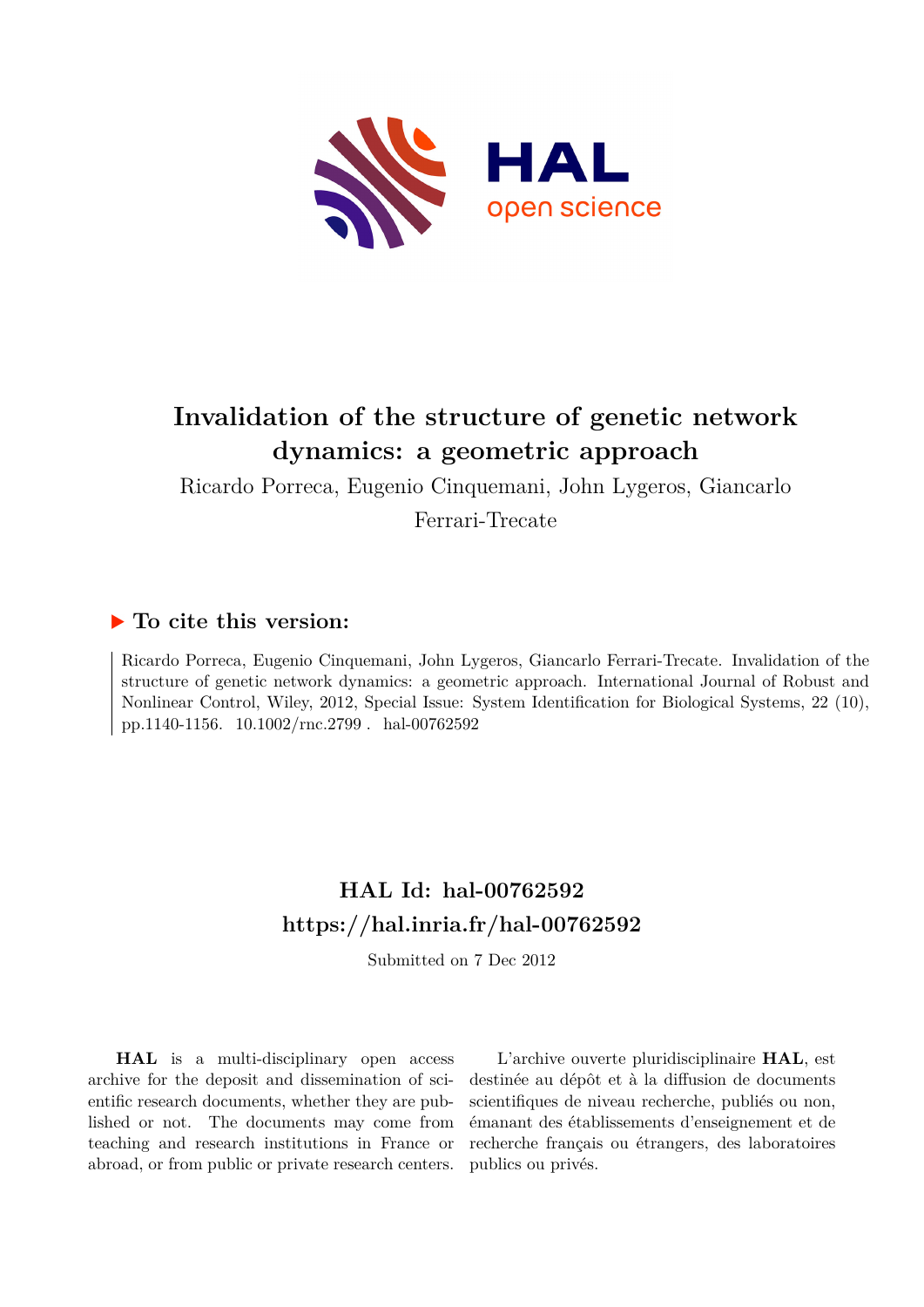

# **Invalidation of the structure of genetic network dynamics: a geometric approach**

Ricardo Porreca, Eugenio Cinquemani, John Lygeros, Giancarlo Ferrari-Trecate

## **To cite this version:**

Ricardo Porreca, Eugenio Cinquemani, John Lygeros, Giancarlo Ferrari-Trecate. Invalidation of the structure of genetic network dynamics: a geometric approach. International Journal of Robust and Nonlinear Control, Wiley, 2012, Special Issue: System Identification for Biological Systems, 22 (10), pp.1140-1156. 10.1002/rnc.2799. hal-00762592

# **HAL Id: hal-00762592 <https://hal.inria.fr/hal-00762592>**

Submitted on 7 Dec 2012

**HAL** is a multi-disciplinary open access archive for the deposit and dissemination of scientific research documents, whether they are published or not. The documents may come from teaching and research institutions in France or abroad, or from public or private research centers.

L'archive ouverte pluridisciplinaire **HAL**, est destinée au dépôt et à la diffusion de documents scientifiques de niveau recherche, publiés ou non, émanant des établissements d'enseignement et de recherche français ou étrangers, des laboratoires publics ou privés.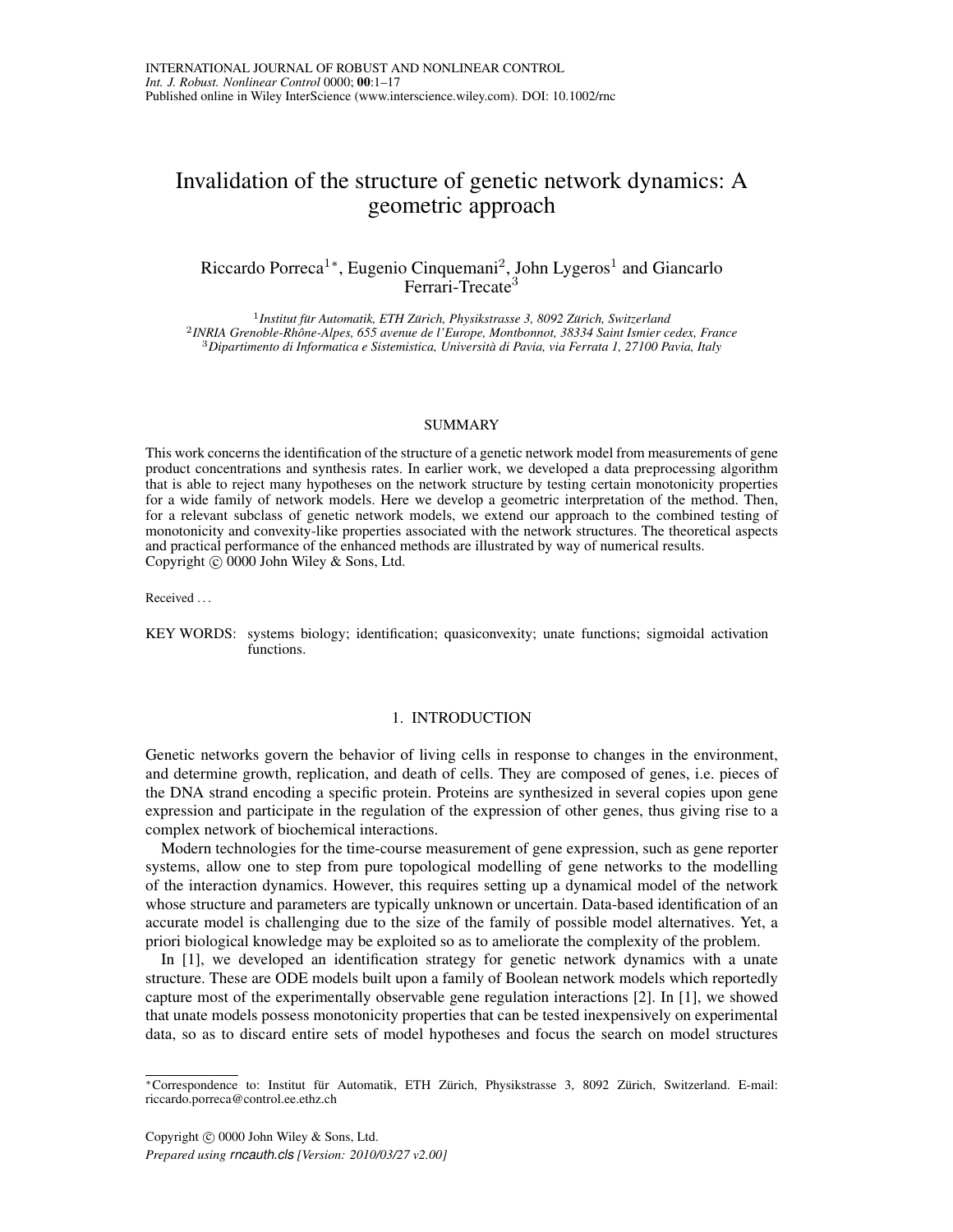## Invalidation of the structure of genetic network dynamics: A geometric approach

### Riccardo Porreca<sup>1</sup>\*, Eugenio Cinquemani<sup>2</sup>, John Lygeros<sup>1</sup> and Giancarlo Ferrari-Trecate<sup>3</sup>

<sup>1</sup> Institut für Automatik, ETH Zürich, Physikstrasse 3, 8092 Zürich, Switzerland 2 *INRIA Grenoble-Rhone-Alpes, 655 avenue de l'Europe, Montbonnot, 38334 Saint Ismier cedex, France ˆ* <sup>3</sup>*Dipartimento di Informatica e Sistemistica, Universita di Pavia, via Ferrata 1, 27100 Pavia, Italy `*

#### SUMMARY

This work concerns the identification of the structure of a genetic network model from measurements of gene product concentrations and synthesis rates. In earlier work, we developed a data preprocessing algorithm that is able to reject many hypotheses on the network structure by testing certain monotonicity properties for a wide family of network models. Here we develop a geometric interpretation of the method. Then, for a relevant subclass of genetic network models, we extend our approach to the combined testing of monotonicity and convexity-like properties associated with the network structures. The theoretical aspects and practical performance of the enhanced methods are illustrated by way of numerical results. Copyright  $\odot$  0000 John Wiley & Sons, Ltd.

Received . . .

KEY WORDS: systems biology; identification; quasiconvexity; unate functions; sigmoidal activation functions.

#### 1. INTRODUCTION

Genetic networks govern the behavior of living cells in response to changes in the environment, and determine growth, replication, and death of cells. They are composed of genes, i.e. pieces of the DNA strand encoding a specific protein. Proteins are synthesized in several copies upon gene expression and participate in the regulation of the expression of other genes, thus giving rise to a complex network of biochemical interactions.

Modern technologies for the time-course measurement of gene expression, such as gene reporter systems, allow one to step from pure topological modelling of gene networks to the modelling of the interaction dynamics. However, this requires setting up a dynamical model of the network whose structure and parameters are typically unknown or uncertain. Data-based identification of an accurate model is challenging due to the size of the family of possible model alternatives. Yet, a priori biological knowledge may be exploited so as to ameliorate the complexity of the problem.

In [1], we developed an identification strategy for genetic network dynamics with a unate structure. These are ODE models built upon a family of Boolean network models which reportedly capture most of the experimentally observable gene regulation interactions [2]. In [1], we showed that unate models possess monotonicity properties that can be tested inexpensively on experimental data, so as to discard entire sets of model hypotheses and focus the search on model structures

Copyright  $\odot$  0000 John Wiley & Sons, Ltd.

*Prepared using rncauth.cls [Version: 2010/03/27 v2.00]*

<sup>\*</sup>Correspondence to: Institut für Automatik, ETH Zürich, Physikstrasse 3, 8092 Zürich, Switzerland. E-mail: riccardo.porreca@control.ee.ethz.ch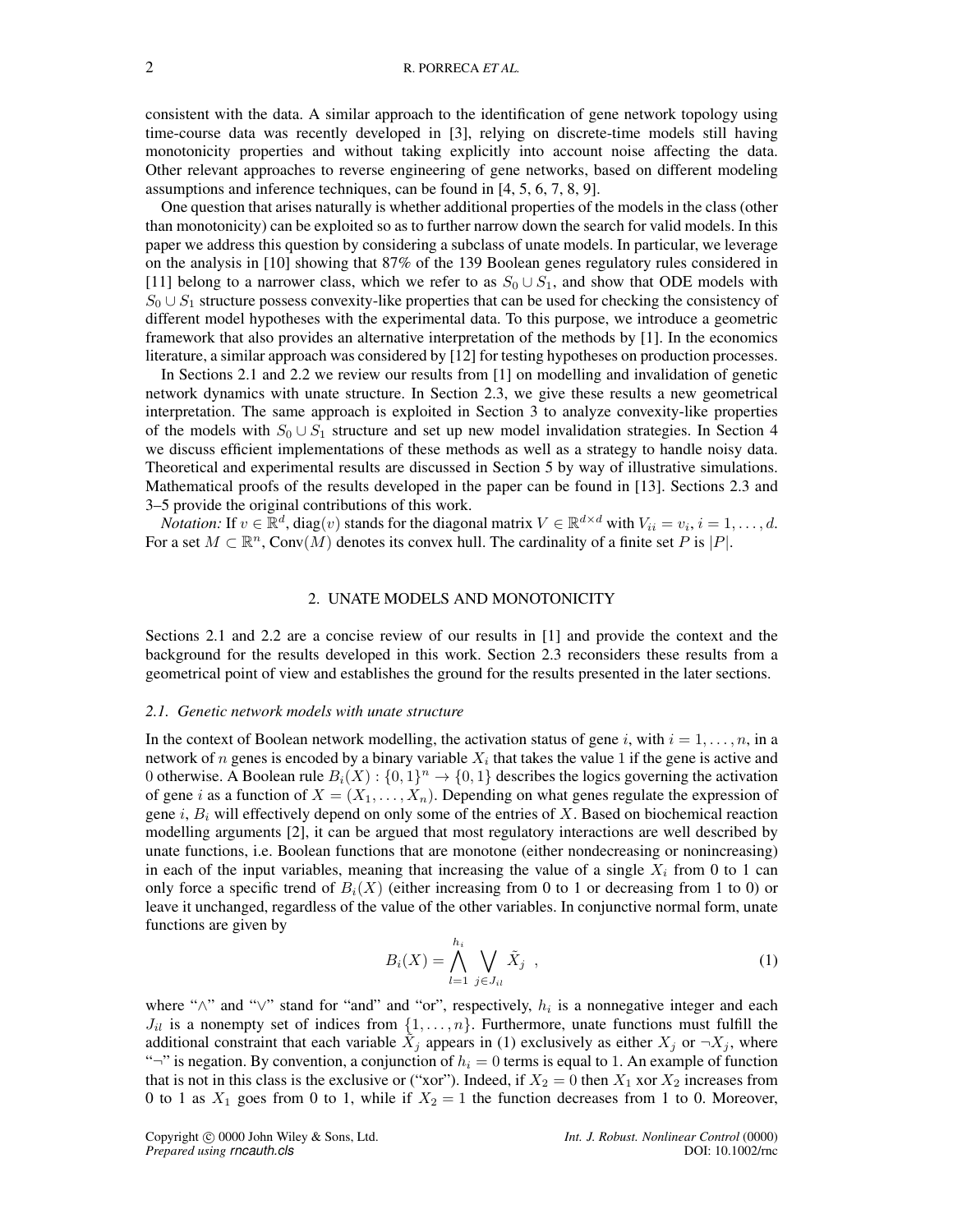consistent with the data. A similar approach to the identification of gene network topology using time-course data was recently developed in [3], relying on discrete-time models still having monotonicity properties and without taking explicitly into account noise affecting the data. Other relevant approaches to reverse engineering of gene networks, based on different modeling assumptions and inference techniques, can be found in [4, 5, 6, 7, 8, 9].

One question that arises naturally is whether additional properties of the models in the class (other than monotonicity) can be exploited so as to further narrow down the search for valid models. In this paper we address this question by considering a subclass of unate models. In particular, we leverage on the analysis in [10] showing that 87% of the 139 Boolean genes regulatory rules considered in [11] belong to a narrower class, which we refer to as  $S_0 \cup S_1$ , and show that ODE models with  $S_0 \cup S_1$  structure possess convexity-like properties that can be used for checking the consistency of different model hypotheses with the experimental data. To this purpose, we introduce a geometric framework that also provides an alternative interpretation of the methods by [1]. In the economics literature, a similar approach was considered by [12] for testing hypotheses on production processes.

In Sections 2.1 and 2.2 we review our results from [1] on modelling and invalidation of genetic network dynamics with unate structure. In Section 2.3, we give these results a new geometrical interpretation. The same approach is exploited in Section 3 to analyze convexity-like properties of the models with  $S_0 \cup S_1$  structure and set up new model invalidation strategies. In Section 4 we discuss efficient implementations of these methods as well as a strategy to handle noisy data. Theoretical and experimental results are discussed in Section 5 by way of illustrative simulations. Mathematical proofs of the results developed in the paper can be found in [13]. Sections 2.3 and 3–5 provide the original contributions of this work.

*Notation:* If  $v \in \mathbb{R}^d$ , diag $(v)$  stands for the diagonal matrix  $V \in \mathbb{R}^{d \times d}$  with  $V_{ii} = v_i$ ,  $i = 1, \dots, d$ . For a set  $M \subset \mathbb{R}^n$ , Conv $(M)$  denotes its convex hull. The cardinality of a finite set P is |P|.

#### 2. UNATE MODELS AND MONOTONICITY

Sections 2.1 and 2.2 are a concise review of our results in [1] and provide the context and the background for the results developed in this work. Section 2.3 reconsiders these results from a geometrical point of view and establishes the ground for the results presented in the later sections.

#### *2.1. Genetic network models with unate structure*

In the context of Boolean network modelling, the activation status of gene i, with  $i = 1, \ldots, n$ , in a network of *n* genes is encoded by a binary variable  $X_i$  that takes the value 1 if the gene is active and 0 otherwise. A Boolean rule  $B_i(X): \{0,1\}^n \to \{0,1\}$  describes the logics governing the activation of gene i as a function of  $X = (X_1, \ldots, X_n)$ . Depending on what genes regulate the expression of gene i,  $B_i$  will effectively depend on only some of the entries of X. Based on biochemical reaction modelling arguments [2], it can be argued that most regulatory interactions are well described by unate functions, i.e. Boolean functions that are monotone (either nondecreasing or nonincreasing) in each of the input variables, meaning that increasing the value of a single  $X_i$  from 0 to 1 can only force a specific trend of  $B_i(X)$  (either increasing from 0 to 1 or decreasing from 1 to 0) or leave it unchanged, regardless of the value of the other variables. In conjunctive normal form, unate functions are given by

$$
B_i(X) = \bigwedge_{l=1}^{h_i} \bigvee_{j \in J_{il}} \tilde{X}_j , \qquad (1)
$$

where " $\wedge$ " and " $\vee$ " stand for "and" and "or", respectively,  $h_i$  is a nonnegative integer and each  $J_{il}$  is a nonempty set of indices from  $\{1, \ldots, n\}$ . Furthermore, unate functions must fulfill the additional constraint that each variable  $\tilde{X}_j$  appears in (1) exclusively as either  $X_j$  or  $\neg X_j$ , where " $\neg$ " is negation. By convention, a conjunction of  $h_i = 0$  terms is equal to 1. An example of function that is not in this class is the exclusive or ("xor"). Indeed, if  $X_2 = 0$  then  $X_1$  xor  $X_2$  increases from 0 to 1 as  $X_1$  goes from 0 to 1, while if  $X_2 = 1$  the function decreases from 1 to 0. Moreover,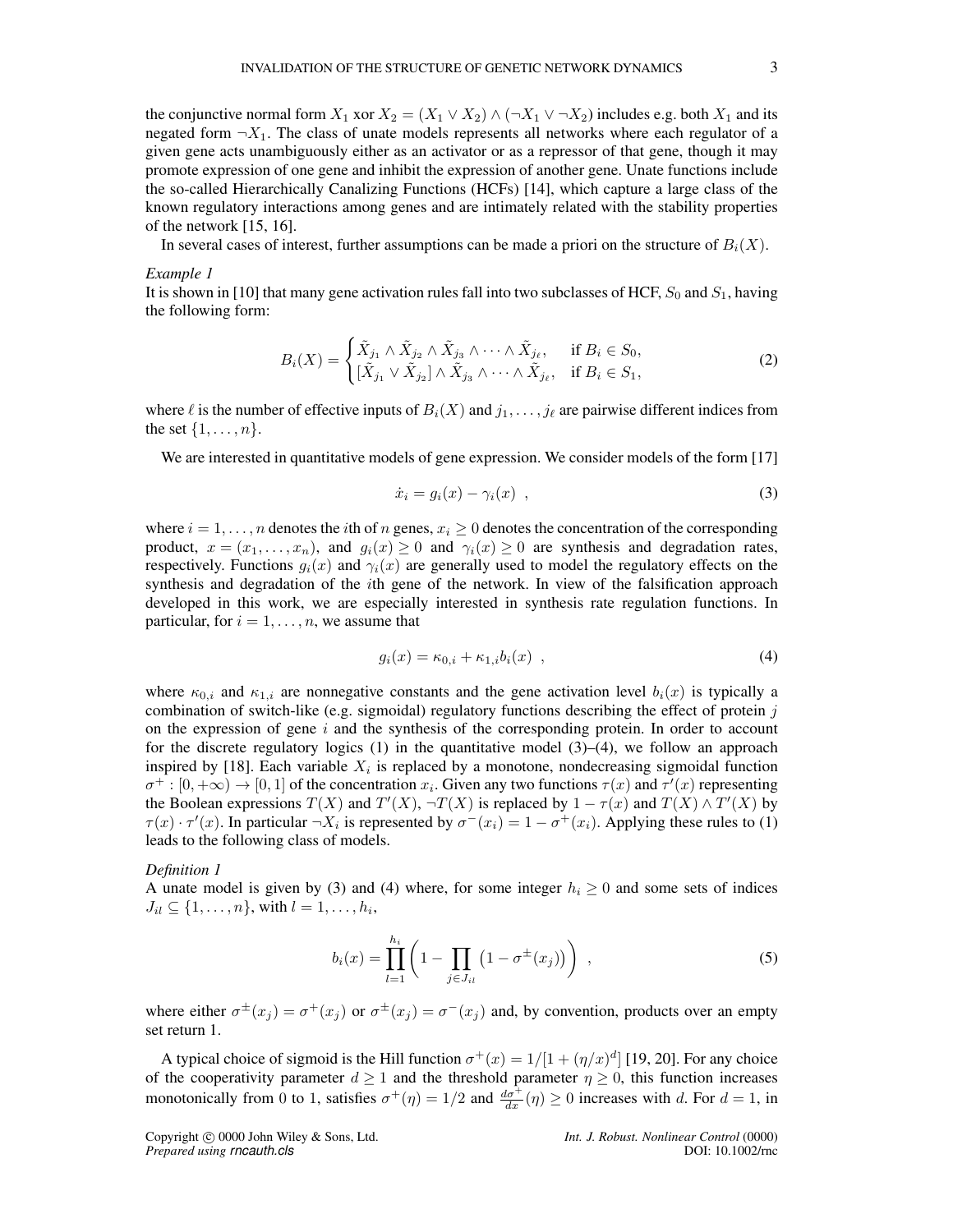the conjunctive normal form  $X_1$  xor  $X_2 = (X_1 \vee X_2) \wedge (\neg X_1 \vee \neg X_2)$  includes e.g. both  $X_1$  and its negated form  $\neg X_1$ . The class of unate models represents all networks where each regulator of a given gene acts unambiguously either as an activator or as a repressor of that gene, though it may promote expression of one gene and inhibit the expression of another gene. Unate functions include the so-called Hierarchically Canalizing Functions (HCFs) [14], which capture a large class of the known regulatory interactions among genes and are intimately related with the stability properties of the network [15, 16].

In several cases of interest, further assumptions can be made a priori on the structure of  $B_i(X)$ .

#### *Example 1*

It is shown in [10] that many gene activation rules fall into two subclasses of HCF,  $S_0$  and  $S_1$ , having the following form:

$$
B_i(X) = \begin{cases} \tilde{X}_{j_1} \wedge \tilde{X}_{j_2} \wedge \tilde{X}_{j_3} \wedge \cdots \wedge \tilde{X}_{j_\ell}, & \text{if } B_i \in S_0, \\ [\tilde{X}_{j_1} \vee \tilde{X}_{j_2}] \wedge \tilde{X}_{j_3} \wedge \cdots \wedge \tilde{X}_{j_\ell}, & \text{if } B_i \in S_1, \end{cases}
$$
(2)

where  $\ell$  is the number of effective inputs of  $B_i(X)$  and  $j_1, \ldots, j_\ell$  are pairwise different indices from the set  $\{1, \ldots, n\}$ .

We are interested in quantitative models of gene expression. We consider models of the form [17]

$$
\dot{x}_i = g_i(x) - \gamma_i(x) \tag{3}
$$

where  $i = 1, \ldots, n$  denotes the *i*th of n genes,  $x_i \geq 0$  denotes the concentration of the corresponding product,  $x = (x_1, \ldots, x_n)$ , and  $g_i(x) \ge 0$  and  $\gamma_i(x) \ge 0$  are synthesis and degradation rates, respectively. Functions  $g_i(x)$  and  $\gamma_i(x)$  are generally used to model the regulatory effects on the synthesis and degradation of the ith gene of the network. In view of the falsification approach developed in this work, we are especially interested in synthesis rate regulation functions. In particular, for  $i = 1, \ldots, n$ , we assume that

$$
g_i(x) = \kappa_{0,i} + \kappa_{1,i} b_i(x) \quad , \tag{4}
$$

where  $\kappa_{0,i}$  and  $\kappa_{1,i}$  are nonnegative constants and the gene activation level  $b_i(x)$  is typically a combination of switch-like (e.g. sigmoidal) regulatory functions describing the effect of protein  $j$ on the expression of gene  $i$  and the synthesis of the corresponding protein. In order to account for the discrete regulatory logics  $(1)$  in the quantitative model  $(3)$ – $(4)$ , we follow an approach inspired by [18]. Each variable  $X_i$  is replaced by a monotone, nondecreasing sigmoidal function  $\sigma^+:[0,+\infty) \to [0,1]$  of the concentration  $x_i$ . Given any two functions  $\tau(x)$  and  $\tau'(x)$  representing the Boolean expressions  $T(X)$  and  $T'(X)$ ,  $\neg T(X)$  is replaced by  $1 - \tau(x)$  and  $T(X) \wedge T'(X)$  by  $\tau(x) \cdot \tau'(x)$ . In particular  $\neg X_i$  is represented by  $\sigma^-(x_i) = 1 - \sigma^+(x_i)$ . Applying these rules to (1) leads to the following class of models.

#### *Definition 1*

A unate model is given by (3) and (4) where, for some integer  $h_i \ge 0$  and some sets of indices  $J_{il} \subseteq \{1, \ldots, n\}$ , with  $l = 1, \ldots, h_i$ ,

$$
b_i(x) = \prod_{l=1}^{h_i} \left( 1 - \prod_{j \in J_{il}} \left( 1 - \sigma^{\pm}(x_j) \right) \right) , \qquad (5)
$$

where either  $\sigma^{\pm}(x_j) = \sigma^+(x_j)$  or  $\sigma^{\pm}(x_j) = \sigma^-(x_j)$  and, by convention, products over an empty set return 1.

A typical choice of sigmoid is the Hill function  $\sigma^+(x) = 1/[1 + (\eta/x)^d]$  [19, 20]. For any choice of the cooperativity parameter  $d \ge 1$  and the threshold parameter  $\eta \ge 0$ , this function increases monotonically from 0 to 1, satisfies  $\sigma^+(\eta) = 1/2$  and  $\frac{d\sigma^+}{dx}(\eta) \ge 0$  increases with d. For  $d = 1$ , in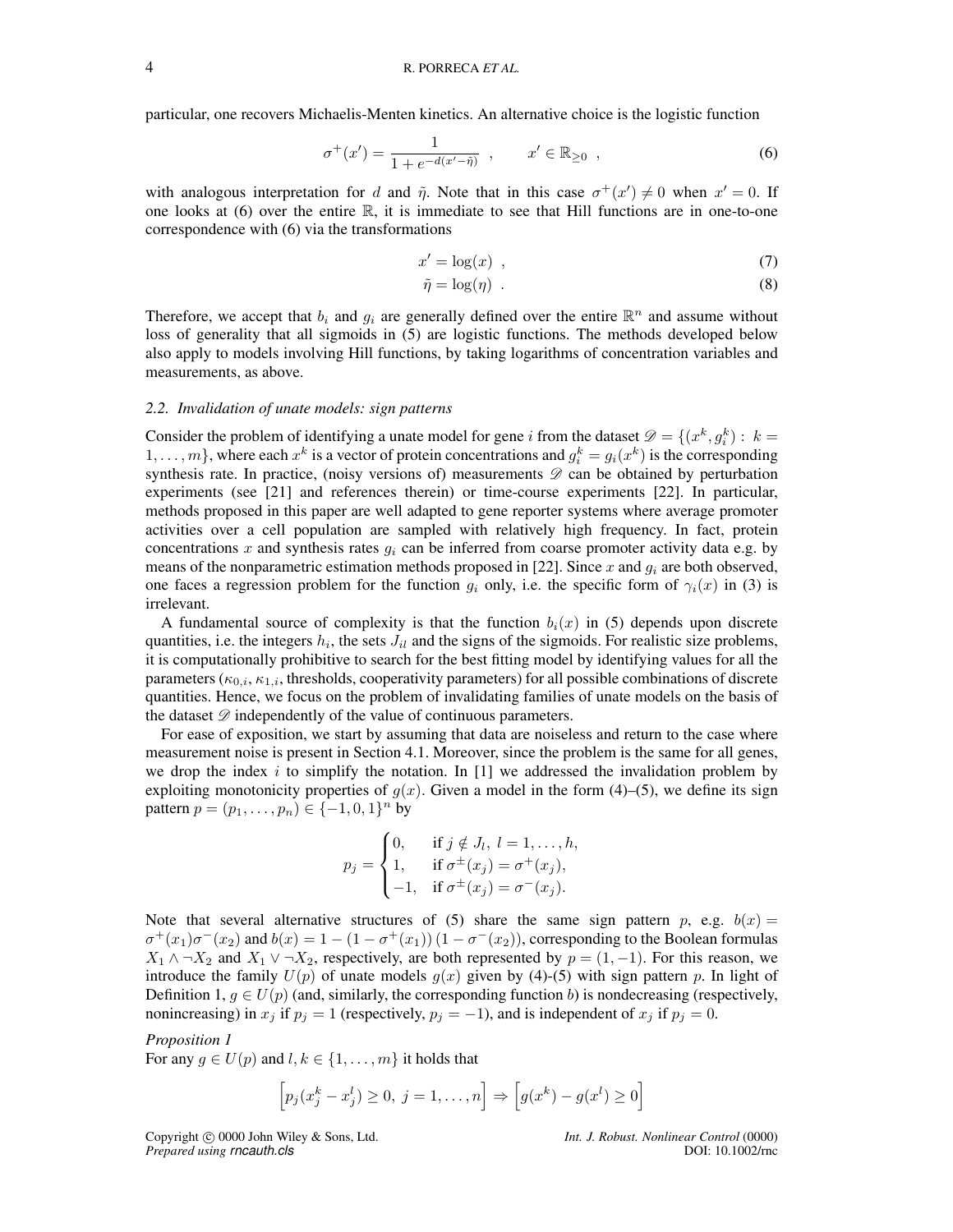particular, one recovers Michaelis-Menten kinetics. An alternative choice is the logistic function

$$
\sigma^+(x') = \frac{1}{1 + e^{-d(x' - \tilde{\eta})}} \, , \qquad x' \in \mathbb{R}_{\geq 0} \, , \tag{6}
$$

with analogous interpretation for d and  $\tilde{\eta}$ . Note that in this case  $\sigma^+(x') \neq 0$  when  $x' = 0$ . If one looks at  $(6)$  over the entire  $\mathbb{R}$ , it is immediate to see that Hill functions are in one-to-one correspondence with (6) via the transformations

$$
x' = \log(x) \tag{7}
$$

$$
\tilde{\eta} = \log(\eta) \tag{8}
$$

Therefore, we accept that  $b_i$  and  $g_i$  are generally defined over the entire  $\mathbb{R}^n$  and assume without loss of generality that all sigmoids in (5) are logistic functions. The methods developed below also apply to models involving Hill functions, by taking logarithms of concentration variables and measurements, as above.

#### *2.2. Invalidation of unate models: sign patterns*

Consider the problem of identifying a unate model for gene i from the dataset  $\mathcal{D} = \{(x^k, g^k_i) : k =$  $1, \ldots, m$ , where each  $x^k$  is a vector of protein concentrations and  $g_i^k = g_i(x^k)$  is the corresponding synthesis rate. In practice, (noisy versions of) measurements  $\mathscr D$  can be obtained by perturbation experiments (see [21] and references therein) or time-course experiments [22]. In particular, methods proposed in this paper are well adapted to gene reporter systems where average promoter activities over a cell population are sampled with relatively high frequency. In fact, protein concentrations x and synthesis rates  $g_i$  can be inferred from coarse promoter activity data e.g. by means of the nonparametric estimation methods proposed in [22]. Since x and  $g_i$  are both observed, one faces a regression problem for the function  $g_i$  only, i.e. the specific form of  $\gamma_i(x)$  in (3) is irrelevant.

A fundamental source of complexity is that the function  $b_i(x)$  in (5) depends upon discrete quantities, i.e. the integers  $h_i$ , the sets  $J_{il}$  and the signs of the sigmoids. For realistic size problems, it is computationally prohibitive to search for the best fitting model by identifying values for all the parameters ( $\kappa_{0,i}, \kappa_{1,i}$ , thresholds, cooperativity parameters) for all possible combinations of discrete quantities. Hence, we focus on the problem of invalidating families of unate models on the basis of the dataset  $\mathscr{D}$  independently of the value of continuous parameters.

For ease of exposition, we start by assuming that data are noiseless and return to the case where measurement noise is present in Section 4.1. Moreover, since the problem is the same for all genes, we drop the index i to simplify the notation. In  $[1]$  we addressed the invalidation problem by exploiting monotonicity properties of  $g(x)$ . Given a model in the form (4)–(5), we define its sign pattern  $p = (p_1, ..., p_n) \in \{-1, 0, 1\}^n$  by

$$
p_j = \begin{cases} 0, & \text{if } j \notin J_l, \ l = 1, ..., h, \\ 1, & \text{if } \sigma^{\pm}(x_j) = \sigma^+(x_j), \\ -1, & \text{if } \sigma^{\pm}(x_j) = \sigma^-(x_j). \end{cases}
$$

Note that several alternative structures of (5) share the same sign pattern p, e.g.  $b(x) =$  $\sigma^+(x_1)\sigma^-(x_2)$  and  $b(x) = 1 - (1 - \sigma^+(x_1))(1 - \sigma^-(x_2))$ , corresponding to the Boolean formulas  $X_1 \wedge \neg X_2$  and  $X_1 \vee \neg X_2$ , respectively, are both represented by  $p = (1, -1)$ . For this reason, we introduce the family  $U(p)$  of unate models  $g(x)$  given by (4)-(5) with sign pattern p. In light of Definition 1,  $g \in U(p)$  (and, similarly, the corresponding function b) is nondecreasing (respectively, nonincreasing) in  $x_j$  if  $p_j = 1$  (respectively,  $p_j = -1$ ), and is independent of  $x_j$  if  $p_j = 0$ .

#### *Proposition 1*

For any  $g \in U(p)$  and  $l, k \in \{1, \ldots, m\}$  it holds that

$$
\[p_j(x_j^k - x_j^l) \ge 0, \ j = 1, \dots, n\] \Rightarrow \[g(x^k) - g(x^l) \ge 0\]
$$

Copyright 

Copyright 

C 0000 John Wiley & Sons, Ltd.<br> *Int. J. Robust. Nonlinear Control* (0000) *Prepared using rncauth.cls*C 0001 *Prepared using rncauth.cls*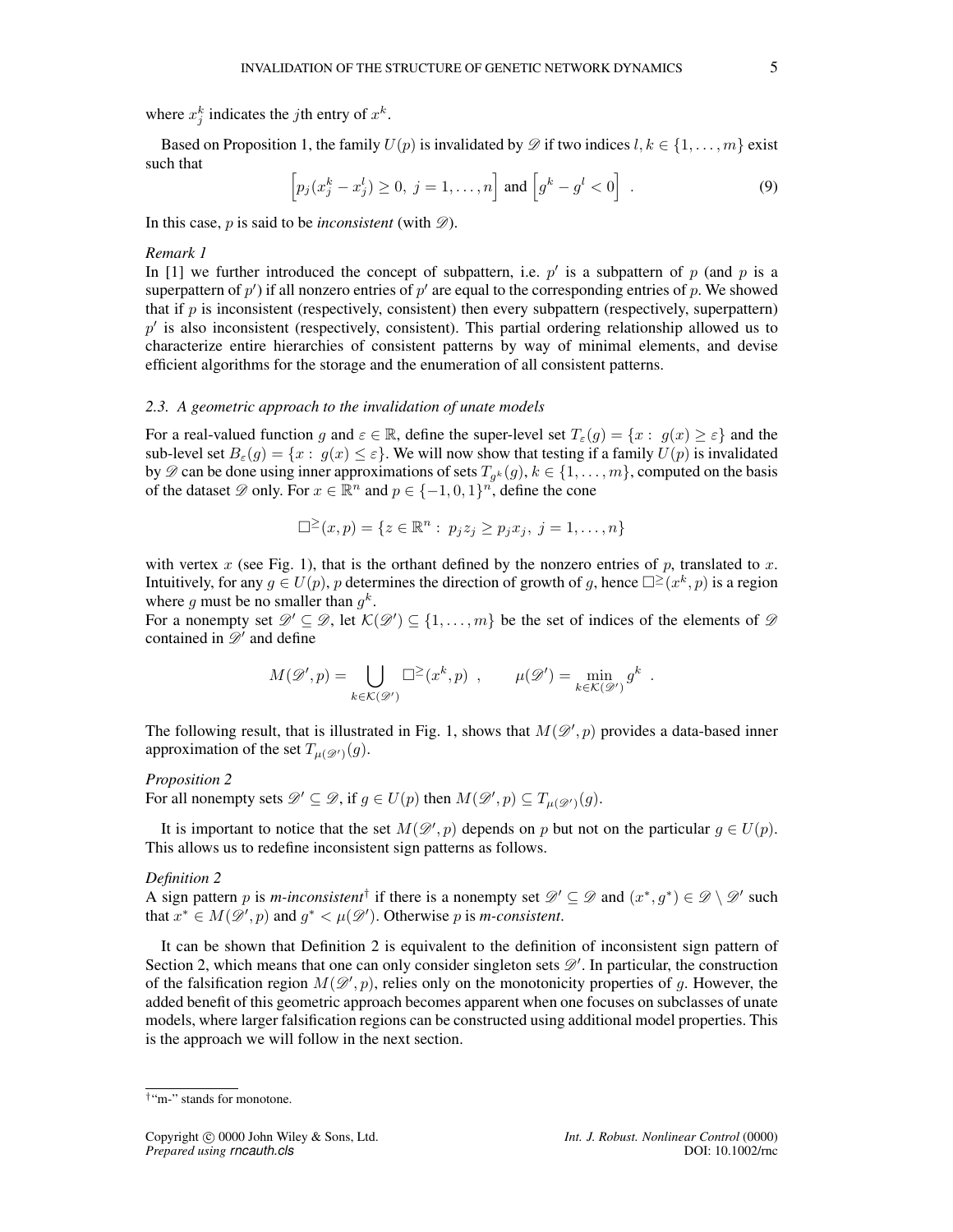where  $x_j^k$  indicates the *j*th entry of  $x^k$ .

Based on Proposition 1, the family  $U(p)$  is invalidated by  $\mathscr{D}$  if two indices  $l, k \in \{1, \ldots, m\}$  exist such that

$$
\[p_j(x_j^k - x_j^l) \ge 0, \ j = 1, \dots, n\] \text{ and } \left[g^k - g^l < 0\right] \tag{9}
$$

In this case,  $p$  is said to be *inconsistent* (with  $\mathscr{D}$ ).

#### *Remark 1*

In [1] we further introduced the concept of subpattern, i.e.  $p'$  is a subpattern of p (and p is a superpattern of  $p'$ ) if all nonzero entries of  $p'$  are equal to the corresponding entries of p. We showed that if  $p$  is inconsistent (respectively, consistent) then every subpattern (respectively, superpattern)  $p'$  is also inconsistent (respectively, consistent). This partial ordering relationship allowed us to characterize entire hierarchies of consistent patterns by way of minimal elements, and devise efficient algorithms for the storage and the enumeration of all consistent patterns.

#### *2.3. A geometric approach to the invalidation of unate models*

For a real-valued function g and  $\varepsilon \in \mathbb{R}$ , define the super-level set  $T_{\varepsilon}(g) = \{x : g(x) \geq \varepsilon\}$  and the sub-level set  $B_\varepsilon(g) = \{x : g(x) \leq \varepsilon\}$ . We will now show that testing if a family  $U(p)$  is invalidated by  $\mathscr{D}$  can be done using inner approximations of sets  $T_{g^k}(g)$ ,  $k \in \{1, ..., m\}$ , computed on the basis of the dataset  $\mathscr{D}$  only. For  $x \in \mathbb{R}^n$  and  $p \in \{-1,0,1\}^n$ , define the cone

$$
\Box^{\geq}(x,p) = \{ z \in \mathbb{R}^n : p_j z_j \geq p_j x_j, \ j = 1, \dots, n \}
$$

with vertex x (see Fig. 1), that is the orthant defined by the nonzero entries of p, translated to x. Intuitively, for any  $g \in U(p)$ , p determines the direction of growth of g, hence  $\square^{\geq}(x^k, p)$  is a region where g must be no smaller than  $g^k$ .

For a nonempty set  $\mathscr{D}' \subseteq \mathscr{D}$ , let  $\mathcal{K}(\mathscr{D}') \subseteq \{1, \ldots, m\}$  be the set of indices of the elements of  $\mathscr{D}$ contained in  $\mathscr{D}'$  and define

$$
M(\mathscr{D}',p) = \bigcup_{k \in \mathcal{K}(\mathscr{D}')} \Box^{\geq}(x^k, p) , \qquad \mu(\mathscr{D}') = \min_{k \in \mathcal{K}(\mathscr{D}')} g^k
$$

The following result, that is illustrated in Fig. 1, shows that  $M(\mathscr{D}', p)$  provides a data-based inner approximation of the set  $T_{\mu(\mathscr{D}')}(g)$ .

#### *Proposition 2*

For all nonempty sets  $\mathscr{D}' \subseteq \mathscr{D}$ , if  $g \in U(p)$  then  $M(\mathscr{D}', p) \subseteq T_{\mu(\mathscr{D}')}(g)$ .

It is important to notice that the set  $M(\mathscr{D}', p)$  depends on p but not on the particular  $g \in U(p)$ . This allows us to redefine inconsistent sign patterns as follows.

#### *Definition 2*

A sign pattern p is *m*-inconsistent<sup>†</sup> if there is a nonempty set  $\mathscr{D}' \subseteq \mathscr{D}$  and  $(x^*, g^*) \in \mathscr{D} \setminus \mathscr{D}'$  such that  $x^* \in M(\mathscr{D}', p)$  and  $g^* < \mu(\mathscr{D}')$ . Otherwise p is *m*-consistent.

It can be shown that Definition 2 is equivalent to the definition of inconsistent sign pattern of Section 2, which means that one can only consider singleton sets  $\mathscr{D}'$ . In particular, the construction of the falsification region  $M(\mathscr{D}', p)$ , relies only on the monotonicity properties of g. However, the added benefit of this geometric approach becomes apparent when one focuses on subclasses of unate models, where larger falsification regions can be constructed using additional model properties. This is the approach we will follow in the next section.

.

<sup>†</sup>"m-" stands for monotone.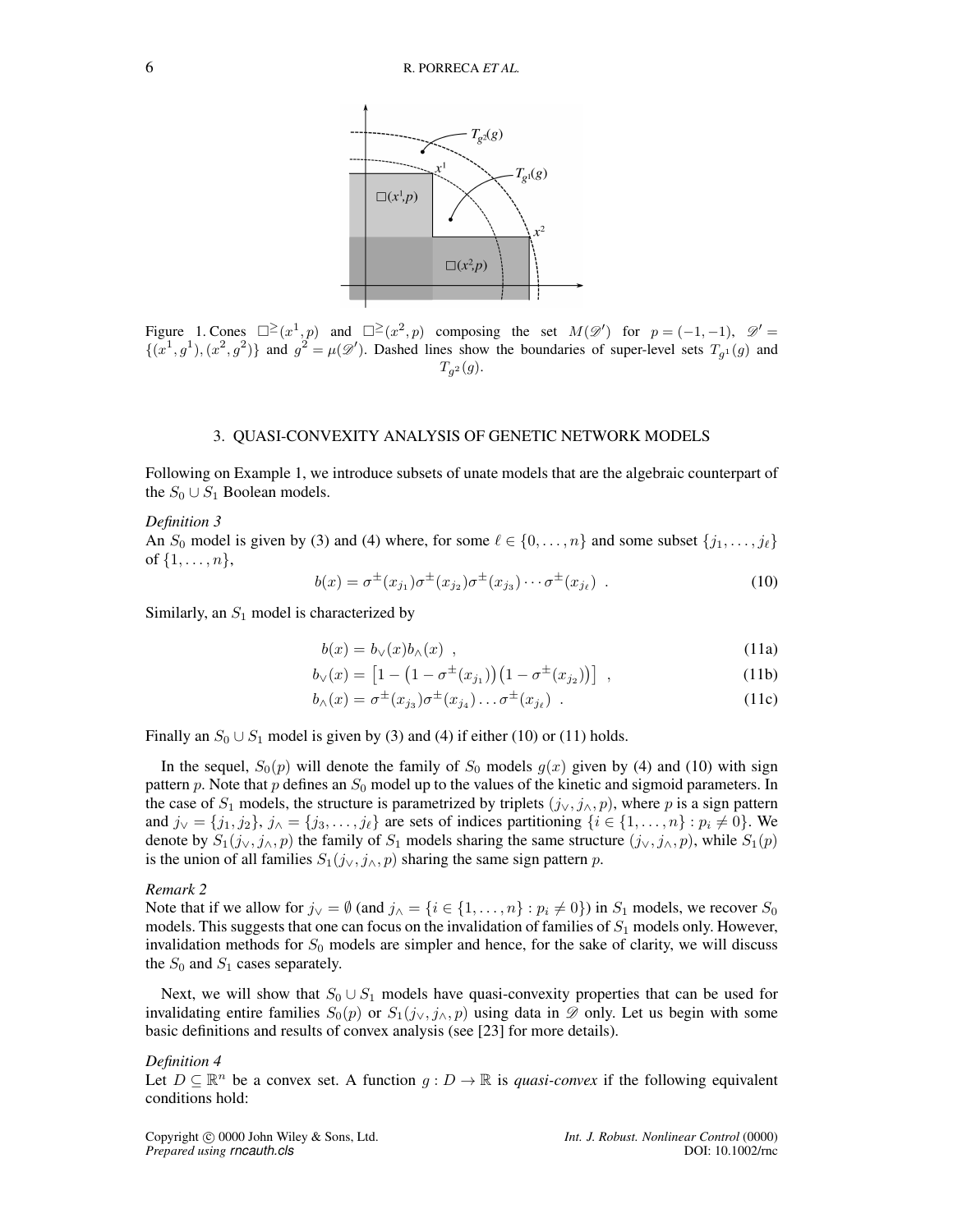

Figure 1. Cones  $\square^{\geq}(x^1,p)$  and  $\square^{\geq}(x^2,p)$  composing the set  $M(\mathscr{D}')$  for  $p=(-1,-1)$ ,  $\mathscr{D}'=$  $\{(x^1, g^1), (x^2, g^2)\}\$ and  $g^2 = \mu(\mathscr{D}')$ . Dashed lines show the boundaries of super-level sets  $T_{g^1}(g)$  and  $T_{g^2}(g)$ .

### 3. QUASI-CONVEXITY ANALYSIS OF GENETIC NETWORK MODELS

Following on Example 1, we introduce subsets of unate models that are the algebraic counterpart of the  $S_0 \cup S_1$  Boolean models.

#### *Definition 3*

An  $S_0$  model is given by (3) and (4) where, for some  $\ell \in \{0, \ldots, n\}$  and some subset  $\{j_1, \ldots, j_\ell\}$ of  $\{1, \ldots, n\},\$ 

$$
b(x) = \sigma^{\pm}(x_{j_1})\sigma^{\pm}(x_{j_2})\sigma^{\pm}(x_{j_3})\cdots\sigma^{\pm}(x_{j_\ell}).
$$
\n(10)

Similarly, an  $S_1$  model is characterized by

$$
b(x) = b_{\vee}(x)b_{\wedge}(x) \quad , \tag{11a}
$$

$$
b_{\vee}(x) = \left[1 - \left(1 - \sigma^{\pm}(x_{j_1})\right)\left(1 - \sigma^{\pm}(x_{j_2})\right)\right] \tag{11b}
$$

$$
b_{\wedge}(x) = \sigma^{\pm}(x_{j_3})\sigma^{\pm}(x_{j_4})\dots\sigma^{\pm}(x_{j_\ell})
$$
 (11c)

Finally an  $S_0 \cup S_1$  model is given by (3) and (4) if either (10) or (11) holds.

In the sequel,  $S_0(p)$  will denote the family of  $S_0$  models  $g(x)$  given by (4) and (10) with sign pattern p. Note that p defines an  $S_0$  model up to the values of the kinetic and sigmoid parameters. In the case of  $S_1$  models, the structure is parametrized by triplets  $(j_v, j_v, p)$ , where p is a sign pattern and  $j_{\vee} = \{j_1, j_2\}, j_{\wedge} = \{j_3, \ldots, j_{\ell}\}\$  are sets of indices partitioning  $\{i \in \{1, \ldots, n\} : p_i \neq 0\}$ . We denote by  $S_1(j_{\vee}, j_{\wedge}, p)$  the family of  $S_1$  models sharing the same structure  $(j_{\vee}, j_{\wedge}, p)$ , while  $S_1(p)$ is the union of all families  $S_1(j_{\vee}, j_{\wedge}, p)$  sharing the same sign pattern p.

#### *Remark 2*

Note that if we allow for  $j_{\vee} = \emptyset$  (and  $j_{\wedge} = \{i \in \{1, ..., n\} : p_i \neq 0\}$ ) in  $S_1$  models, we recover  $S_0$ models. This suggests that one can focus on the invalidation of families of  $S_1$  models only. However, invalidation methods for  $S_0$  models are simpler and hence, for the sake of clarity, we will discuss the  $S_0$  and  $S_1$  cases separately.

Next, we will show that  $S_0 \cup S_1$  models have quasi-convexity properties that can be used for invalidating entire families  $S_0(p)$  or  $S_1(j_\vee, j_\wedge, p)$  using data in  $\mathscr D$  only. Let us begin with some basic definitions and results of convex analysis (see [23] for more details).

#### *Definition 4*

Let  $D \subseteq \mathbb{R}^n$  be a convex set. A function  $q : D \to \mathbb{R}$  is *quasi-convex* if the following equivalent conditions hold: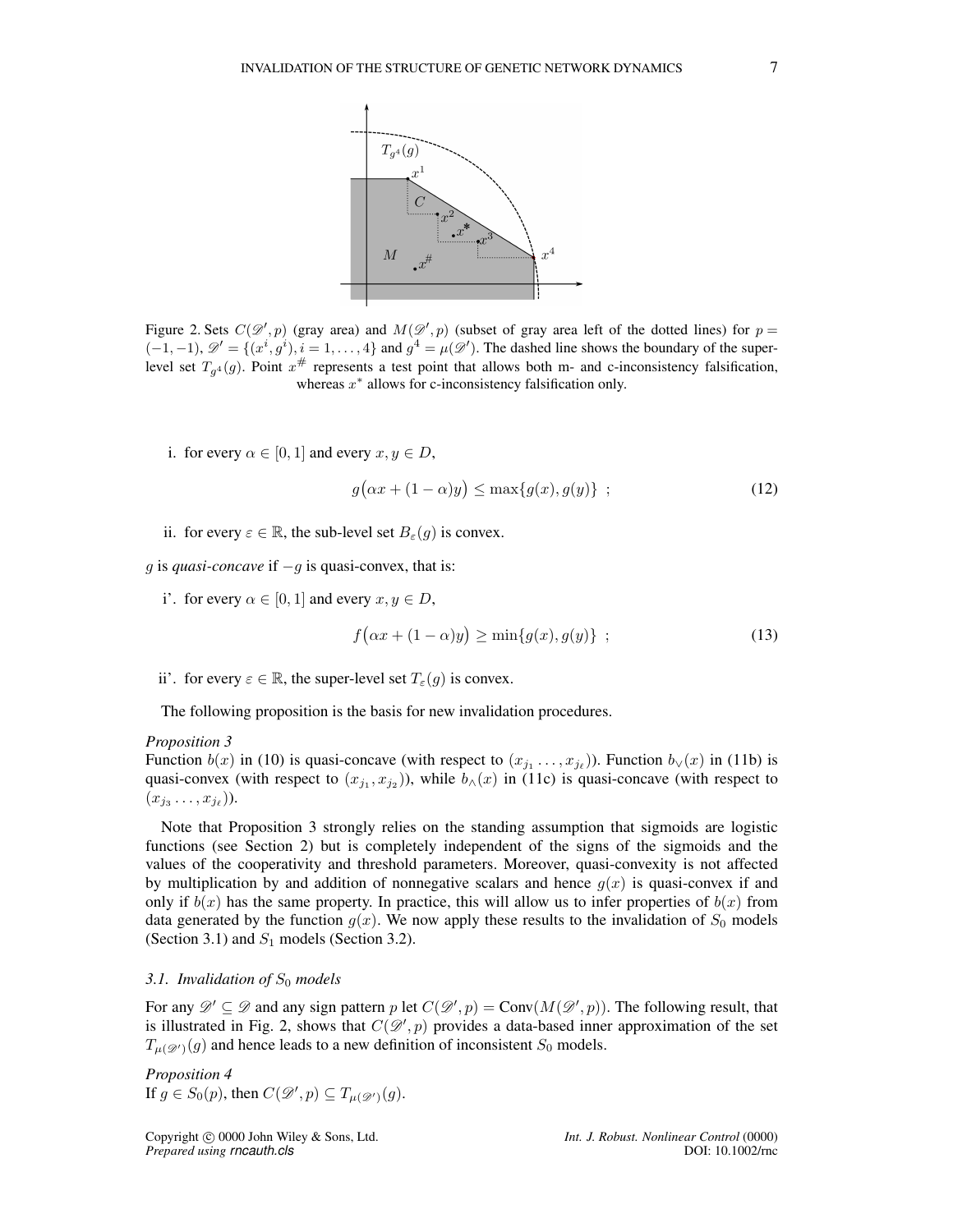

Figure 2. Sets  $C(\mathscr{D}', p)$  (gray area) and  $M(\mathscr{D}', p)$  (subset of gray area left of the dotted lines) for  $p =$  $(-1,-1)$ ,  $\mathscr{D}' = \{(x^i, g^i), i = 1, \ldots, 4\}$  and  $g^4 = \mu(\mathscr{D}')$ . The dashed line shows the boundary of the superlevel set  $T_{g^4}(g)$ . Point  $x^{\#}$  represents a test point that allows both m- and c-inconsistency falsification, whereas  $x^*$  allows for c-inconsistency falsification only.

i. for every  $\alpha \in [0, 1]$  and every  $x, y \in D$ ,

$$
g\big(\alpha x + (1 - \alpha)y\big) \le \max\{g(x), g(y)\} \quad ; \tag{12}
$$

ii. for every  $\varepsilon \in \mathbb{R}$ , the sub-level set  $B_{\varepsilon}(q)$  is convex.

*g* is *quasi-concave* if −*g* is quasi-convex, that is:

i'. for every  $\alpha \in [0, 1]$  and every  $x, y \in D$ ,

$$
f\big(\alpha x + (1 - \alpha)y\big) \ge \min\{g(x), g(y)\} \quad ; \tag{13}
$$

ii'. for every  $\varepsilon \in \mathbb{R}$ , the super-level set  $T_{\varepsilon}(q)$  is convex.

The following proposition is the basis for new invalidation procedures.

#### *Proposition 3*

Function  $b(x)$  in (10) is quasi-concave (with respect to  $(x_{j_1},...,x_{j_\ell})$ ). Function  $b_\vee(x)$  in (11b) is quasi-convex (with respect to  $(x_{j_1}, x_{j_2})$ ), while  $b_|(x)$  in (11c) is quasi-concave (with respect to  $(x_{j_3}\ldots,x_{j_\ell})$ ).

Note that Proposition 3 strongly relies on the standing assumption that sigmoids are logistic functions (see Section 2) but is completely independent of the signs of the sigmoids and the values of the cooperativity and threshold parameters. Moreover, quasi-convexity is not affected by multiplication by and addition of nonnegative scalars and hence  $q(x)$  is quasi-convex if and only if  $b(x)$  has the same property. In practice, this will allow us to infer properties of  $b(x)$  from data generated by the function  $g(x)$ . We now apply these results to the invalidation of  $S_0$  models (Section 3.1) and  $S_1$  models (Section 3.2).

#### *3.1. Invalidation of*  $S_0$  *models*

For any  $\mathscr{D}' \subseteq \mathscr{D}$  and any sign pattern p let  $C(\mathscr{D}', p) = \text{Conv}(M(\mathscr{D}', p))$ . The following result, that is illustrated in Fig. 2, shows that  $C(\mathcal{D}', p)$  provides a data-based inner approximation of the set  $T_{\mu(\mathscr{D}')}(g)$  and hence leads to a new definition of inconsistent  $S_0$  models.

*Proposition 4*  
If 
$$
g \in S_0(p)
$$
, then  $C(\mathcal{D}', p) \subseteq T_{\mu(\mathcal{D}')}(g)$ .

Copyright c 0000 John Wiley & Sons, Ltd. *Int. J. Robust. Nonlinear Control* (0000) *Prepared using rncauth.cls*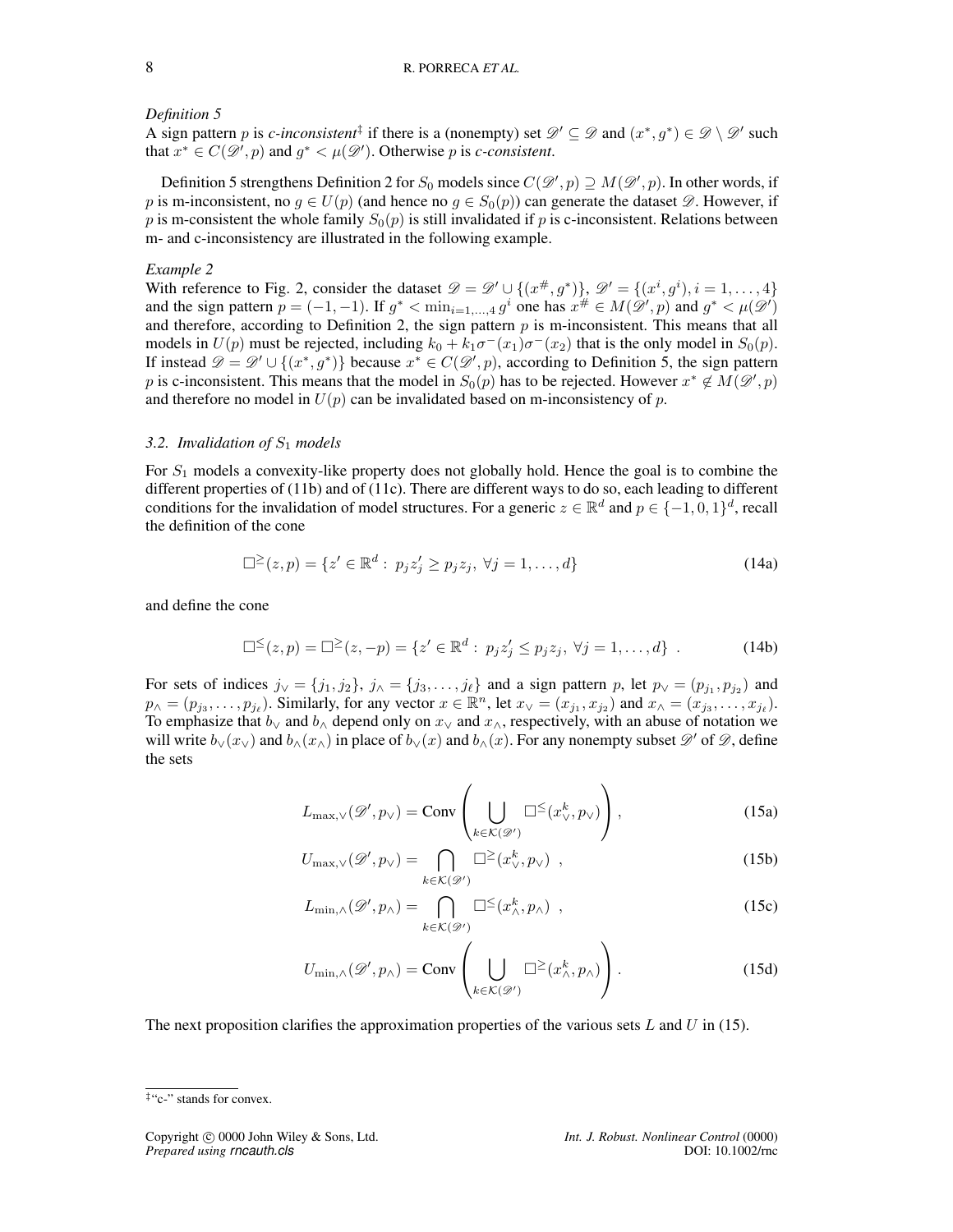#### *Definition 5*

A sign pattern p is *c*-inconsistent<sup>†</sup> if there is a (nonempty) set  $\mathscr{D}' \subseteq \mathscr{D}$  and  $(x^*, g^*) \in \mathscr{D} \setminus \mathscr{D}'$  such that  $x^* \in C(\mathcal{D}', p)$  and  $g^* < \mu(\mathcal{D}')$ . Otherwise p is *c*-consistent.

Definition 5 strengthens Definition 2 for  $S_0$  models since  $C(\mathscr{D}', p) \supseteq M(\mathscr{D}', p)$ . In other words, if p is m-inconsistent, no  $g \in U(p)$  (and hence no  $g \in S_0(p)$ ) can generate the dataset  $\mathscr{D}$ . However, if p is m-consistent the whole family  $S_0(p)$  is still invalidated if p is c-inconsistent. Relations between m- and c-inconsistency are illustrated in the following example.

#### *Example 2*

With reference to Fig. 2, consider the dataset  $\mathcal{D} = \mathcal{D}' \cup \{(x^{\#}, g^*)\}, \mathcal{D}' = \{(x^i, g^i), i = 1, \ldots, 4\}$ and the sign pattern  $p = (-1, -1)$ . If  $g^* < \min_{i=1,\dots,4} g^i$  one has  $x^{\#} \in M(\mathscr{D}', p)$  and  $g^* < \mu(\mathscr{D}')$ and therefore, according to Definition 2, the sign pattern  $p$  is m-inconsistent. This means that all models in  $U(p)$  must be rejected, including  $k_0 + k_1 \sigma^-(x_1) \sigma^-(x_2)$  that is the only model in  $S_0(p)$ . If instead  $\mathscr{D} = \mathscr{D}' \cup \{(x^*, g^*)\}$  because  $x^* \in C(\mathscr{D}', p)$ , according to Definition 5, the sign pattern p is c-inconsistent. This means that the model in  $S_0(p)$  has to be rejected. However  $x^* \notin M(\mathscr{D}', p)$ and therefore no model in  $U(p)$  can be invalidated based on m-inconsistency of p.

#### *3.2. Invalidation of*  $S_1$  *models*

For  $S_1$  models a convexity-like property does not globally hold. Hence the goal is to combine the different properties of (11b) and of (11c). There are different ways to do so, each leading to different conditions for the invalidation of model structures. For a generic  $z \in \mathbb{R}^d$  and  $p \in \{-1, 0, 1\}^d$ , recall the definition of the cone

$$
\Box^{\geq}(z,p) = \{ z' \in \mathbb{R}^d : p_j z'_j \geq p_j z_j, \ \forall j = 1, \dots, d \}
$$
 (14a)

and define the cone

$$
\Box^{\leq}(z,p) = \Box^{\geq}(z,-p) = \{ z' \in \mathbb{R}^d : p_j z'_j \leq p_j z_j, \ \forall j = 1,\dots,d \} \ . \tag{14b}
$$

For sets of indices  $j_0 = \{j_1, j_2\}$ ,  $j_0 = \{j_3, \ldots, j_\ell\}$  and a sign pattern p, let  $p_0 = (p_{j_1}, p_{j_2})$  and  $p_{\wedge} = (p_{j_3}, \ldots, p_{j_\ell})$ . Similarly, for any vector  $x \in \mathbb{R}^n$ , let  $x_{\vee} = (x_{j_1}, x_{j_2})$  and  $x_{\wedge} = (x_{j_3}, \ldots, x_{j_\ell})$ . To emphasize that  $b<sub>√</sub>$  and  $b<sub>√</sub>$  depend only on  $x<sub>√</sub>$  and  $x<sub>√</sub>$ , respectively, with an abuse of notation we will write  $b_{\vee}(x_{\vee})$  and  $b_{\wedge}(x_{\wedge})$  in place of  $b_{\vee}(x)$  and  $b_{\wedge}(x)$ . For any nonempty subset  $\mathscr{D}'$  of  $\mathscr{D}$ , define the sets

$$
L_{\max,\vee}(\mathscr{D}',p_{\vee}) = \text{Conv}\left(\bigcup_{k \in \mathcal{K}(\mathscr{D}')} \Box^{\leq}(x_{\vee}^k, p_{\vee})\right),\tag{15a}
$$

$$
U_{\max,\vee}(\mathscr{D}',p_{\vee}) = \bigcap_{k \in \mathcal{K}(\mathscr{D}')} \square^{\geq} (x_{\vee}^k, p_{\vee}), \qquad (15b)
$$

$$
L_{\min,\wedge}(\mathscr{D}',p_{\wedge}) = \bigcap_{k \in \mathcal{K}(\mathscr{D}')} \Box^{\leq}(x_{\wedge}^k, p_{\wedge}) ,
$$
 (15c)

$$
U_{\min,\wedge}(\mathscr{D}',p_{\wedge}) = \text{Conv}\left(\bigcup_{k \in \mathcal{K}(\mathscr{D}')} \square^{\geq}(x_{\wedge}^k, p_{\wedge})\right). \tag{15d}
$$

The next proposition clarifies the approximation properties of the various sets  $L$  and  $U$  in (15).

<sup>‡</sup>"c-" stands for convex.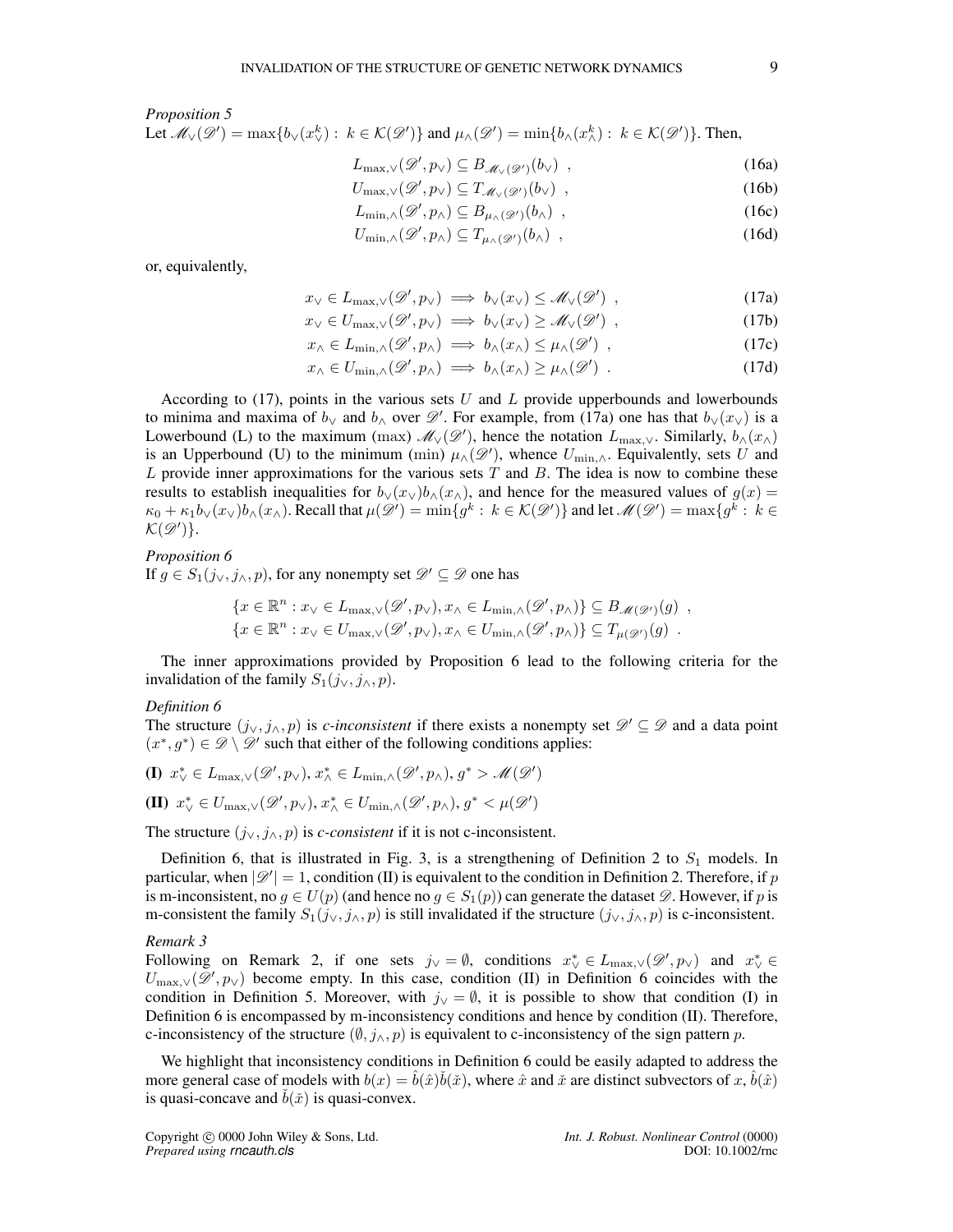#### *Proposition 5*

Let  $\mathcal{M}_{\vee}(\mathscr{D}') = \max\{b_{\vee}(x_{\vee}^k) : k \in \mathcal{K}(\mathscr{D}')\}$  and  $\mu_{\wedge}(\mathscr{D}') = \min\{b_{\wedge}(x_{\wedge}^k) : k \in \mathcal{K}(\mathscr{D}')\}$ . Then,

$$
L_{\max,\vee}(\mathscr{D}',p_{\vee}) \subseteq B_{\mathscr{M}_{\vee}(\mathscr{D}')}(\mathfrak{b}_{\vee}), \qquad (16a)
$$

$$
U_{\max,\vee}(\mathscr{D}',p_{\vee}) \subseteq T_{\mathscr{M}_{\vee}(\mathscr{D}')}(b_{\vee}), \qquad (16b)
$$

$$
L_{\min,\wedge}(\mathscr{D}',p_{\wedge}) \subseteq B_{\mu_{\wedge}(\mathscr{D}')}(\mathfrak{b}_{\wedge}) ,\qquad(16c)
$$

$$
U_{\min,\wedge}(\mathscr{D}',p_{\wedge}) \subseteq T_{\mu_{\wedge}(\mathscr{D}')}(\mathfrak{b}_{\wedge}) , \qquad (16d)
$$

or, equivalently,

$$
x_{\vee} \in L_{\max,\vee}(\mathscr{D}', p_{\vee}) \implies b_{\vee}(x_{\vee}) \le \mathscr{M}_{\vee}(\mathscr{D}') \tag{17a}
$$

$$
x_{\vee} \in U_{\max,\vee}(\mathscr{D}', p_{\vee}) \implies b_{\vee}(x_{\vee}) \ge \mathscr{M}_{\vee}(\mathscr{D}') , \qquad (17b)
$$

$$
x_{\wedge} \in L_{\min, \wedge}(\mathscr{D}', p_{\wedge}) \implies b_{\wedge}(x_{\wedge}) \leq \mu_{\wedge}(\mathscr{D}') , \qquad (17c)
$$

$$
x_{\wedge} \in U_{\min, \wedge}(\mathscr{D}', p_{\wedge}) \implies b_{\wedge}(x_{\wedge}) \ge \mu_{\wedge}(\mathscr{D}') \tag{17d}
$$

According to  $(17)$ , points in the various sets U and L provide upperbounds and lowerbounds to minima and maxima of  $b_{\vee}$  and  $b_{\wedge}$  over  $\mathscr{D}'$ . For example, from (17a) one has that  $b_{\vee}(x_{\vee})$  is a Lowerbound (L) to the maximum (max)  $\mathscr{M}_{\vee}(\mathscr{D}')$ , hence the notation  $L_{\text{max},\vee}$ . Similarly,  $b_{\wedge}(x_{\wedge})$ is an Upperbound (U) to the minimum (min)  $\mu_0(\mathscr{D}')$ , whence  $U_{\min,\wedge}$ . Equivalently, sets U and  $L$  provide inner approximations for the various sets  $T$  and  $B$ . The idea is now to combine these results to establish inequalities for  $b_y(x_y)b_0(x_x)$ , and hence for the measured values of  $g(x)$  =  $\kappa_0 + \kappa_1 b_\vee(x_\vee) b_\wedge(x_\wedge)$ . Recall that  $\mu(\mathscr{D}') = \min\{g^k : k \in \mathcal{K}(\mathscr{D}')\}$  and let  $\mathscr{M}(\mathscr{D}') = \max\{g^k : k \in \mathscr{D}'\}$  $\mathcal{K}(\mathscr{D}')\}.$ 

#### *Proposition 6*

If  $g \in S_1(j_\vee, j_\wedge, p)$ , for any nonempty set  $\mathscr{D}' \subseteq \mathscr{D}$  one has

$$
\{x \in \mathbb{R}^n : x_{\vee} \in L_{\text{max},\vee}(\mathscr{D}', p_{\vee}), x_{\wedge} \in L_{\text{min},\wedge}(\mathscr{D}', p_{\wedge})\} \subseteq B_{\mathscr{M}(\mathscr{D}')}(g) ,
$$
  

$$
\{x \in \mathbb{R}^n : x_{\vee} \in U_{\text{max},\vee}(\mathscr{D}', p_{\vee}), x_{\wedge} \in U_{\text{min},\wedge}(\mathscr{D}', p_{\wedge})\} \subseteq T_{\mu(\mathscr{D}')}(g) .
$$

The inner approximations provided by Proposition 6 lead to the following criteria for the invalidation of the family  $S_1(j_{\vee}, j_{\wedge}, p)$ .

#### *Definition 6*

The structure  $(j_{\vee}, j_{\wedge}, p)$  is *c-inconsistent* if there exists a nonempty set  $\mathscr{D}' \subseteq \mathscr{D}$  and a data point  $(x^*, g^*) \in \mathscr{D} \setminus \mathscr{D}'$  such that either of the following conditions applies:

$$
\textbf{(I)}\ \ x_{\vee}^*\in L_{\textup{max},\vee}(\mathscr{D}',p_{\vee}),\,x_{\wedge}^*\in L_{\textup{min},\wedge}(\mathscr{D}',p_{\wedge}),\,g^*>\mathscr{M}(\mathscr{D}')
$$

(II) 
$$
x_{\vee}^* \in U_{\max,\vee}(\mathscr{D}',p_{\vee}), x_{\wedge}^* \in U_{\min,\wedge}(\mathscr{D}',p_{\wedge}), g^* \lt \mu(\mathscr{D}')
$$

The structure  $(j_{\vee}, j_{\wedge}, p)$  is *c-consistent* if it is not c-inconsistent.

Definition 6, that is illustrated in Fig. 3, is a strengthening of Definition 2 to  $S_1$  models. In particular, when  $|\mathscr{D}'|=1$ , condition (II) is equivalent to the condition in Definition 2. Therefore, if p is m-inconsistent, no  $g \in U(p)$  (and hence no  $g \in S_1(p)$ ) can generate the dataset  $\mathscr{D}$ . However, if p is m-consistent the family  $S_1(j_{\vee}, j_{\wedge}, p)$  is still invalidated if the structure  $(j_{\vee}, j_{\wedge}, p)$  is c-inconsistent.

#### *Remark 3*

Following on Remark 2, if one sets  $j_{\vee} = \emptyset$ , conditions  $x_{\vee}^* \in L_{\max,\vee}(\mathscr{D}', p_{\vee})$  and  $x_{\vee}^* \in L_{\max,\vee}(\mathscr{D}', p_{\vee})$  $U_{\text{max},\vee}(\mathscr{D}',p_{\vee})$  become empty. In this case, condition (II) in Definition 6 coincides with the condition in Definition 5. Moreover, with  $j<sub>√</sub> = \emptyset$ , it is possible to show that condition (I) in Definition 6 is encompassed by m-inconsistency conditions and hence by condition (II). Therefore, c-inconsistency of the structure  $(\emptyset, j_\wedge, p)$  is equivalent to c-inconsistency of the sign pattern p.

We highlight that inconsistency conditions in Definition 6 could be easily adapted to address the more general case of models with  $b(x) = \hat{b}(\hat{x})\check{b}(\check{x})$ , where  $\hat{x}$  and  $\check{x}$  are distinct subvectors of  $x, \hat{b}(\hat{x})$ is quasi-concave and  $\dot{b}(\tilde{x})$  is quasi-convex.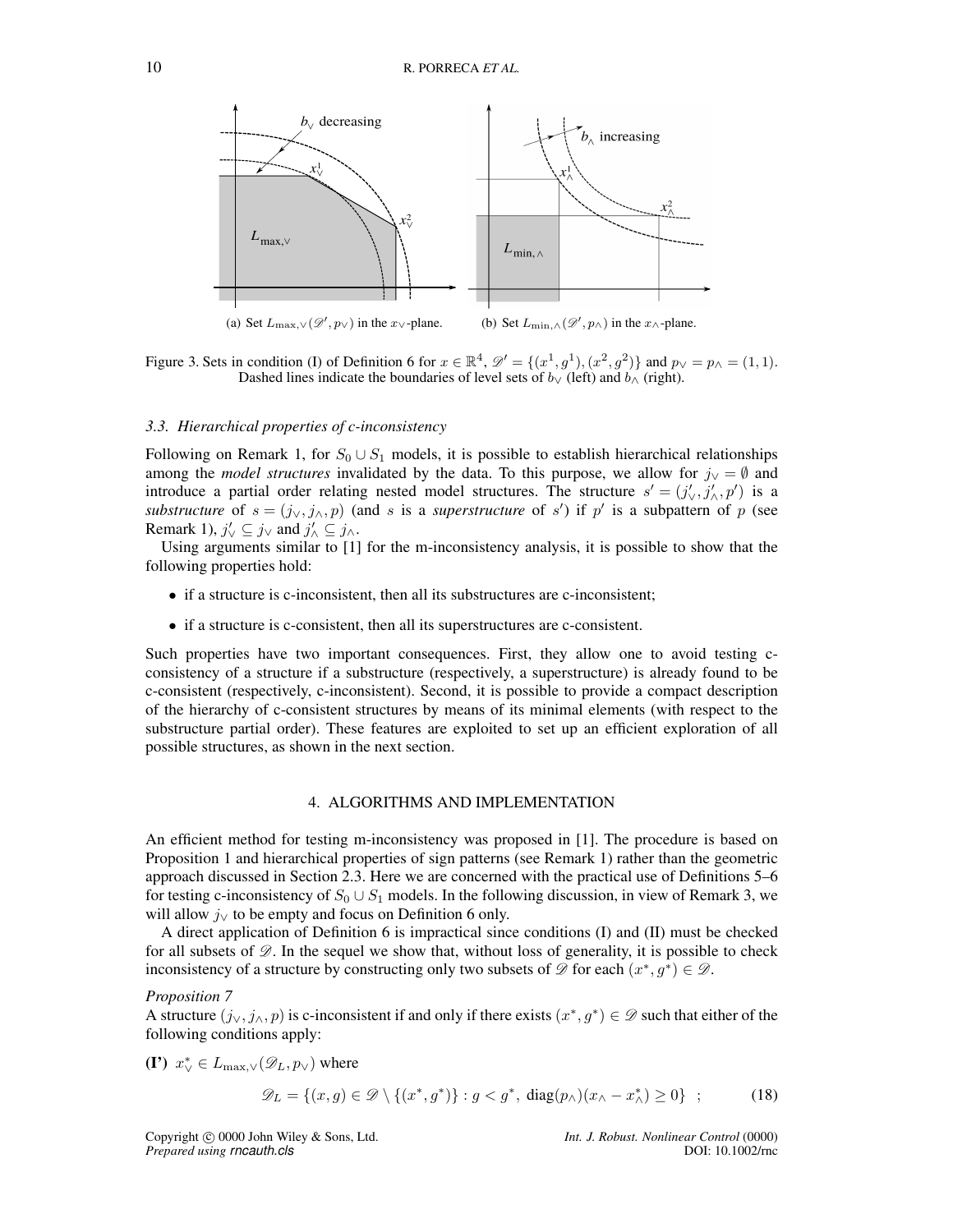

Figure 3. Sets in condition (I) of Definition 6 for  $x \in \mathbb{R}^4$ ,  $\mathscr{D}' = \{(x^1, g^1), (x^2, g^2)\}\$  and  $p_\vee = p_\wedge = (1, 1)$ . Dashed lines indicate the boundaries of level sets of  $b<sub>∨</sub>$  (left) and  $b<sub>∧</sub>$  (right).

#### *3.3. Hierarchical properties of c-inconsistency*

Following on Remark 1, for  $S_0 \cup S_1$  models, it is possible to establish hierarchical relationships among the *model structures* invalidated by the data. To this purpose, we allow for  $j<sub>\vee</sub> = \emptyset$  and introduce a partial order relating nested model structures. The structure  $s' = (j'_{\vee}, j'_{\wedge}, p')$  is a *substructure* of  $s = (j_{\vee}, j_{\wedge}, p)$  (and s is a *superstructure* of s') if p' is a subpattern of p (see Remark 1),  $j'_{\vee} \subseteq j_{\vee}$  and  $j'_{\wedge} \subseteq j_{\wedge}$ .

Using arguments similar to [1] for the m-inconsistency analysis, it is possible to show that the following properties hold:

- if a structure is c-inconsistent, then all its substructures are c-inconsistent;
- if a structure is c-consistent, then all its superstructures are c-consistent.

Such properties have two important consequences. First, they allow one to avoid testing cconsistency of a structure if a substructure (respectively, a superstructure) is already found to be c-consistent (respectively, c-inconsistent). Second, it is possible to provide a compact description of the hierarchy of c-consistent structures by means of its minimal elements (with respect to the substructure partial order). These features are exploited to set up an efficient exploration of all possible structures, as shown in the next section.

#### 4. ALGORITHMS AND IMPLEMENTATION

An efficient method for testing m-inconsistency was proposed in [1]. The procedure is based on Proposition 1 and hierarchical properties of sign patterns (see Remark 1) rather than the geometric approach discussed in Section 2.3. Here we are concerned with the practical use of Definitions 5–6 for testing c-inconsistency of  $S_0 \cup S_1$  models. In the following discussion, in view of Remark 3, we will allow  $j<sub>√</sub>$  to be empty and focus on Definition 6 only.

A direct application of Definition 6 is impractical since conditions (I) and (II) must be checked for all subsets of  $\mathscr{D}$ . In the sequel we show that, without loss of generality, it is possible to check inconsistency of a structure by constructing only two subsets of  $\mathscr{D}$  for each  $(x^*, g^*) \in \mathscr{D}$ .

#### *Proposition 7*

A structure  $(j_0, j_0, p)$  is c-inconsistent if and only if there exists  $(x^*, g^*) \in \mathscr{D}$  such that either of the following conditions apply:

(I')  $x_{\vee}^* \in L_{\max,\vee}(\mathscr{D}_L, p_{\vee})$  where

$$
\mathscr{D}_L = \{(x, g) \in \mathscr{D} \setminus \{(x^*, g^*)\} : g < g^*, \operatorname{diag}(p_\wedge)(x_\wedge - x_\wedge^*) \ge 0\} \tag{18}
$$

Copyright 
copyright 
compute the Wiley & Sons, Ltd.<br> *Int. J. Robust. Nonlinear Control* (0000)<br> *Prepared using rncauth.cls Prepared using rncauth.cls*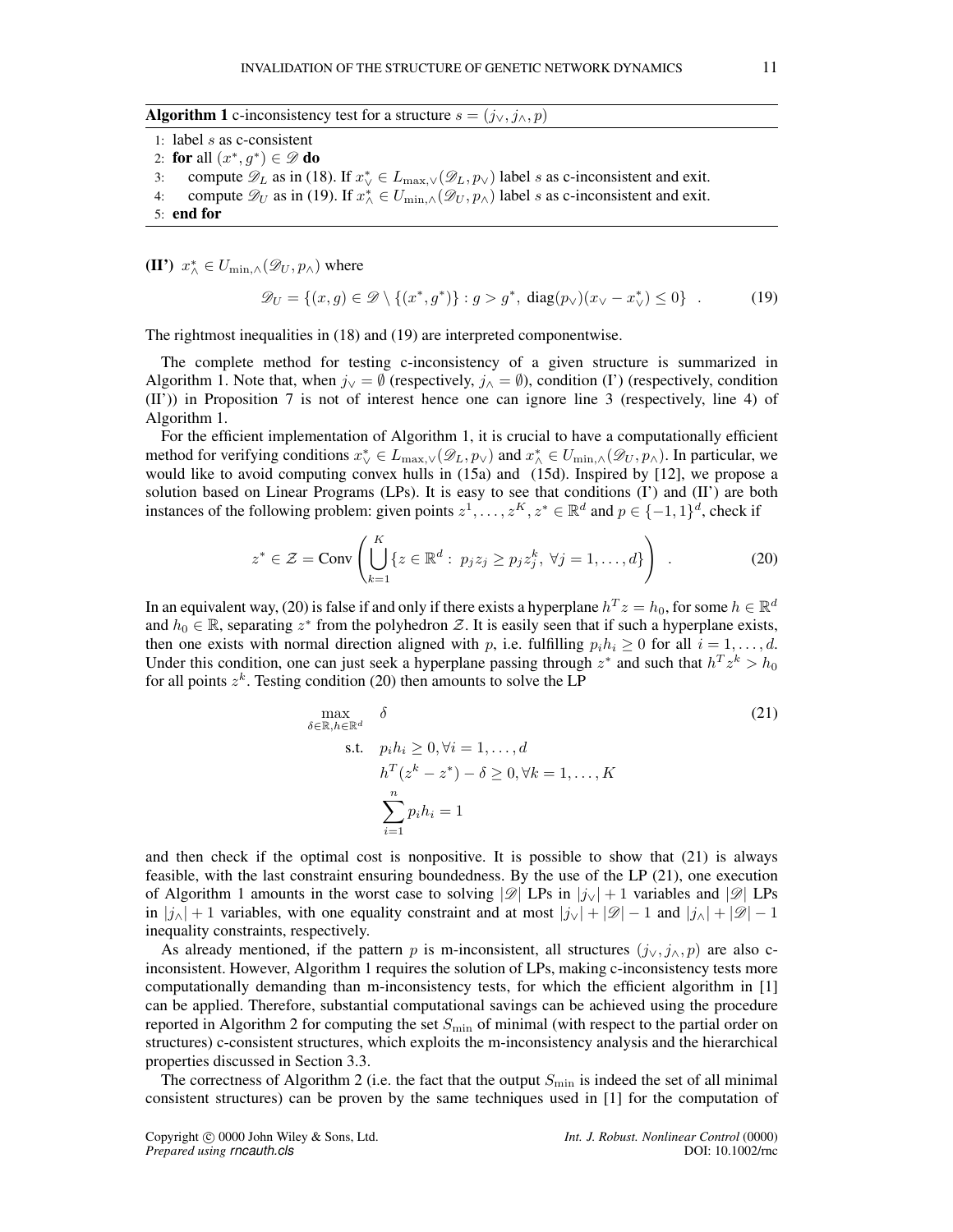Algorithm 1 c-inconsistency test for a structure  $s = (j_{\vee}, j_{\wedge}, p)$ 

1: label s as c-consistent 2: for all  $(x^*, g^*) \in \mathscr{D}$  do 3: compute  $\mathscr{D}_L$  as in (18). If  $x^*_{\vee} \in L_{\max,\vee}(\mathscr{D}_L, p_{\vee})$  label s as c-inconsistent and exit. 4: compute  $\mathscr{D}_U$  as in (19). If  $x^*_{\wedge} \in U_{\min,\wedge}(\mathscr{D}_U, p_{\wedge})$  label s as c-inconsistent and exit. 5: end for

(II')  $x_{\wedge}^* \in U_{\min,\wedge}(\mathscr{D}_U, p_{\wedge})$  where

$$
\mathscr{D}_U = \{(x, g) \in \mathscr{D} \setminus \{(x^*, g^*)\} : g > g^*, \text{ diag}(p_\vee)(x_\vee - x_\vee^*) \le 0\} \quad . \tag{19}
$$

The rightmost inequalities in (18) and (19) are interpreted componentwise.

The complete method for testing c-inconsistency of a given structure is summarized in Algorithm 1. Note that, when  $j_{\vee} = \emptyset$  (respectively,  $j_{\wedge} = \emptyset$ ), condition (I') (respectively, condition (II')) in Proposition 7 is not of interest hence one can ignore line 3 (respectively, line 4) of Algorithm 1.

For the efficient implementation of Algorithm 1, it is crucial to have a computationally efficient method for verifying conditions  $x^*_{\vee} \in L_{\max,\vee}(\mathscr{D}_L, p_{\vee})$  and  $x^*_{\wedge} \in U_{\min,\wedge}(\mathscr{D}_U, p_{\wedge})$ . In particular, we would like to avoid computing convex hulls in (15a) and (15d). Inspired by [12], we propose a solution based on Linear Programs (LPs). It is easy to see that conditions  $(I')$  and  $(II')$  are both instances of the following problem: given points  $z^1, \ldots, z^K, z^* \in \mathbb{R}^d$  and  $p \in \{-1, 1\}^d$ , check if

$$
z^* \in \mathcal{Z} = \text{Conv}\left(\bigcup_{k=1}^K \{z \in \mathbb{R}^d : p_j z_j \ge p_j z_j^k, \ \forall j = 1, \dots, d\}\right) \tag{20}
$$

In an equivalent way, (20) is false if and only if there exists a hyperplane  $h^T z = h_0$ , for some  $h \in \mathbb{R}^d$ and  $h_0 \in \mathbb{R}$ , separating  $z^*$  from the polyhedron Z. It is easily seen that if such a hyperplane exists, then one exists with normal direction aligned with p, i.e. fulfilling  $p_i h_i \geq 0$  for all  $i = 1, \ldots, d$ . Under this condition, one can just seek a hyperplane passing through  $z^*$  and such that  $h^T z^k > h_0$ for all points  $z^k$ . Testing condition (20) then amounts to solve the LP

$$
\max_{\delta \in \mathbb{R}, h \in \mathbb{R}^d} \delta
$$
\n
$$
\text{s.t.} \quad p_i h_i \ge 0, \forall i = 1, \dots, d
$$
\n
$$
h^T (z^k - z^*) - \delta \ge 0, \forall k = 1, \dots, K
$$
\n
$$
\sum_{i=1}^n p_i h_i = 1
$$
\n(21)

and then check if the optimal cost is nonpositive. It is possible to show that (21) is always feasible, with the last constraint ensuring boundedness. By the use of the LP (21), one execution of Algorithm 1 amounts in the worst case to solving  $\mathscr{D}$  LPs in  $|j_{\vee}|+1$  variables and  $\mathscr{D}$  LPs in  $|j_\wedge| + 1$  variables, with one equality constraint and at most  $|j_\vee| + |\mathscr{D}| - 1$  and  $|j_\wedge| + |\mathscr{D}| - 1$ inequality constraints, respectively.

As already mentioned, if the pattern p is m-inconsistent, all structures  $(j_{\vee}, j_{\wedge}, p)$  are also cinconsistent. However, Algorithm 1 requires the solution of LPs, making c-inconsistency tests more computationally demanding than m-inconsistency tests, for which the efficient algorithm in [1] can be applied. Therefore, substantial computational savings can be achieved using the procedure reported in Algorithm 2 for computing the set  $S_{\text{min}}$  of minimal (with respect to the partial order on structures) c-consistent structures, which exploits the m-inconsistency analysis and the hierarchical properties discussed in Section 3.3.

The correctness of Algorithm 2 (i.e. the fact that the output  $S_{\text{min}}$  is indeed the set of all minimal consistent structures) can be proven by the same techniques used in [1] for the computation of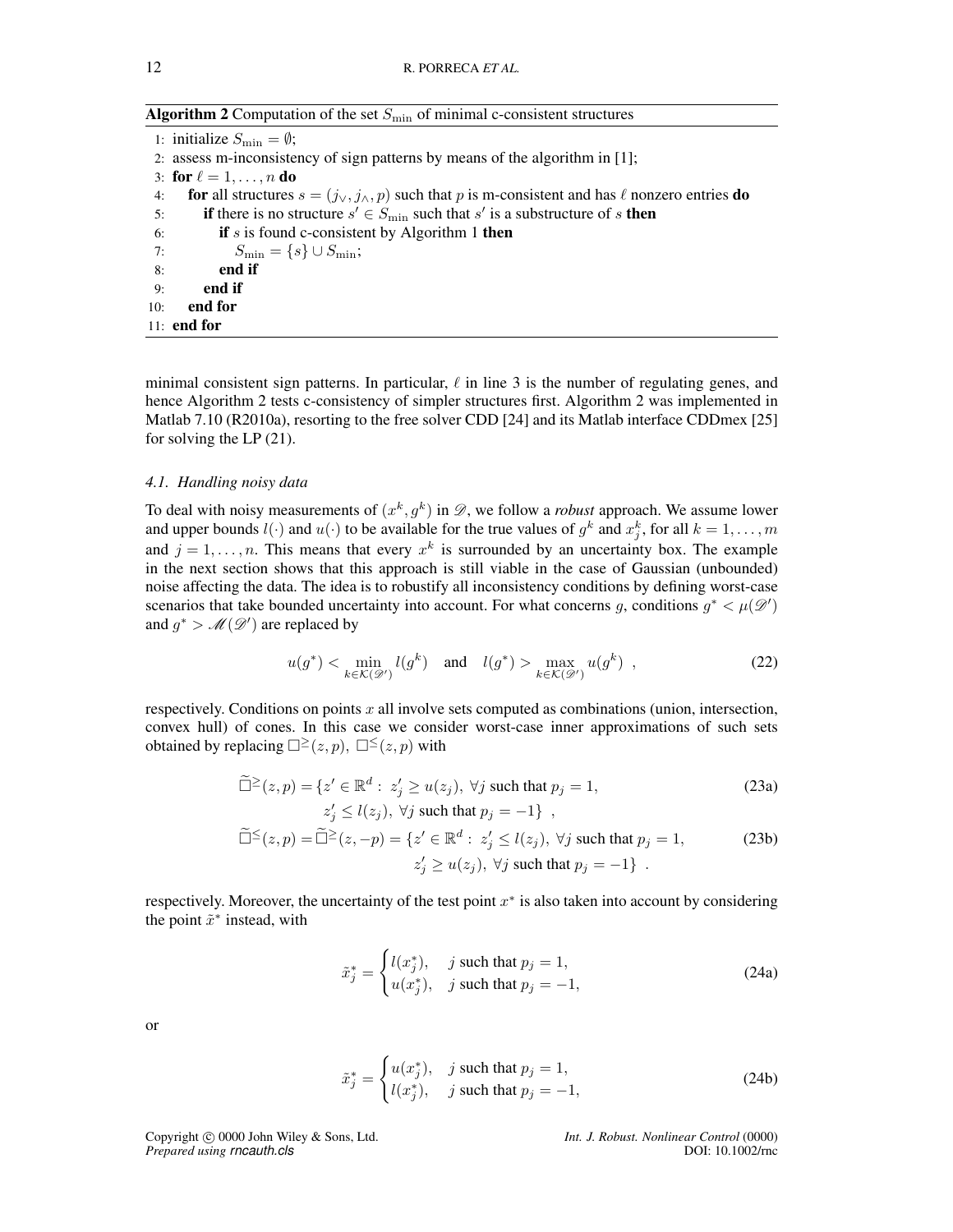Algorithm 2 Computation of the set  $S_{\text{min}}$  of minimal c-consistent structures

|     | 1: initialize $S_{\text{min}} = \emptyset$ ;                                                                     |
|-----|------------------------------------------------------------------------------------------------------------------|
|     | 2. assess m-inconsistency of sign patterns by means of the algorithm in [1];                                     |
|     | 3: for $\ell = 1, \ldots, n$ do                                                                                  |
| 4:  | for all structures $s = (j_{\vee}, j_{\wedge}, p)$ such that p is m-consistent and has $\ell$ nonzero entries do |
| 5:  | <b>if</b> there is no structure $s' \in S_{\text{min}}$ such that s' is a substructure of s <b>then</b>          |
| 6:  | if $s$ is found c-consistent by Algorithm 1 then                                                                 |
|     | 7: $S_{\min} = \{s\} \cup S_{\min};$                                                                             |
| 8:  | end if                                                                                                           |
| 9:  | end if                                                                                                           |
| 10: | end for                                                                                                          |
|     | $11:$ end for                                                                                                    |

minimal consistent sign patterns. In particular,  $\ell$  in line 3 is the number of regulating genes, and hence Algorithm 2 tests c-consistency of simpler structures first. Algorithm 2 was implemented in Matlab 7.10 (R2010a), resorting to the free solver CDD [24] and its Matlab interface CDDmex [25] for solving the LP (21).

#### *4.1. Handling noisy data*

To deal with noisy measurements of  $(x^k, g^k)$  in  $\mathscr{D}$ , we follow a *robust* approach. We assume lower and upper bounds  $l(\cdot)$  and  $u(\cdot)$  to be available for the true values of  $g^k$  and  $x_j^k$ , for all  $k = 1, \ldots, m$ and  $j = 1, \ldots, n$ . This means that every  $x^k$  is surrounded by an uncertainty box. The example in the next section shows that this approach is still viable in the case of Gaussian (unbounded) noise affecting the data. The idea is to robustify all inconsistency conditions by defining worst-case scenarios that take bounded uncertainty into account. For what concerns g, conditions  $g^* < \mu(\mathscr{D}')$ and  $g^*$  >  $\mathcal{M}(\mathcal{D}')$  are replaced by

$$
u(g^*) < \min_{k \in \mathcal{K}(\mathcal{D}')} l(g^k) \quad \text{and} \quad l(g^*) > \max_{k \in \mathcal{K}(\mathcal{D}')} u(g^k) \tag{22}
$$

respectively. Conditions on points x all involve sets computed as combinations (union, intersection, convex hull) of cones. In this case we consider worst-case inner approximations of such sets obtained by replacing  $\square^{\geq}(z,p)$ ,  $\square^{\leq}(z,p)$  with

$$
\widetilde{\Box}^{\geq}(z,p) = \{ z' \in \mathbb{R}^d : z'_j \geq u(z_j), \ \forall j \text{ such that } p_j = 1,
$$
\n(23a)

$$
z'_{j} \le l(z_{j}), \ \forall j \text{ such that } p_{j} = -1 \} ,
$$
  

$$
\widetilde{\Box}^{\le}(z, p) = \widetilde{\Box}^{\ge}(z, -p) = \{ z' \in \mathbb{R}^{d} : z'_{j} \le l(z_{j}), \ \forall j \text{ such that } p_{j} = 1, \}
$$
  

$$
z'_{j} \ge u(z_{j}), \ \forall j \text{ such that } p_{j} = -1 \} .
$$
  
(23b)

respectively. Moreover, the uncertainty of the test point  $x^*$  is also taken into account by considering the point  $\tilde{x}^*$  instead, with

$$
\tilde{x}_j^* = \begin{cases}\n l(x_j^*), & j \text{ such that } p_j = 1, \\
 u(x_j^*), & j \text{ such that } p_j = -1,\n\end{cases}
$$
\n(24a)

or

$$
\tilde{x}_j^* = \begin{cases} u(x_j^*), & j \text{ such that } p_j = 1, \\ l(x_j^*), & j \text{ such that } p_j = -1, \end{cases}
$$
\n(24b)

Copyright 
copyright 
copyright 
copyright

c 
0000 John Wiley & Sons, Ltd. *Int. J. Robust. Nonlinear Control* (0000)
<br> *Int. J. Robust. Nonlinear Control* (0000)
<br>
DOI: 10.1002/rnc *Prepared using rncauth.cls*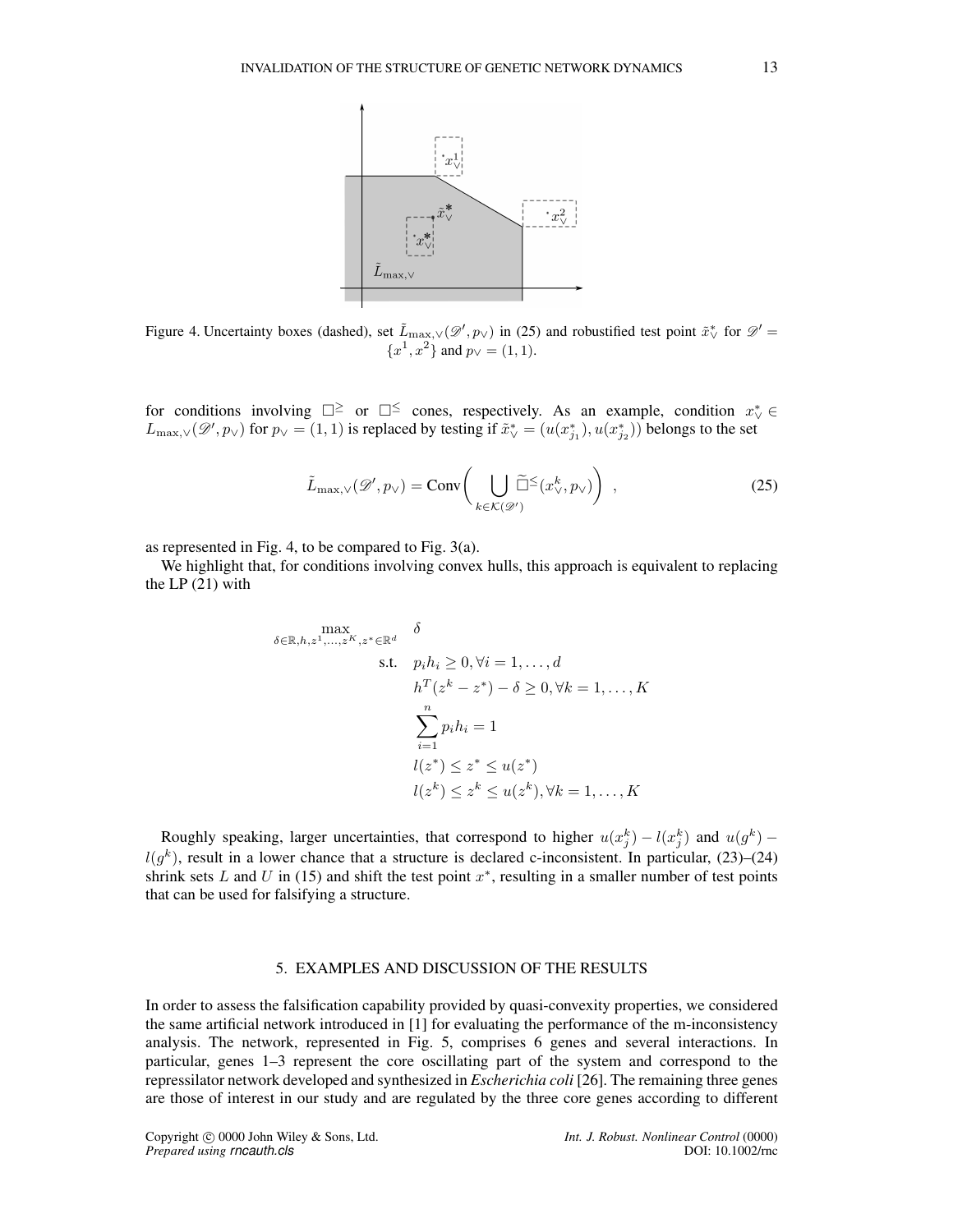

Figure 4. Uncertainty boxes (dashed), set  $\tilde{L}_{\text{max},\vee}(\mathscr{D}',p_{\vee})$  in (25) and robustified test point  $\tilde{x}_{\vee}^*$  for  $\mathscr{D}' =$  ${x^1, x^2}$  and  $p$ <sub>∨</sub> = (1, 1).

for conditions involving  $\square^{\ge}$  or  $\square^{\le}$  cones, respectively. As an example, condition  $x^*_{\vee} \in$  $L_{\text{max},\vee}(\mathscr{D}',p_{\vee})$  for  $p_{\vee} = (1,1)$  is replaced by testing if  $\tilde{x}_{\vee}^* = (u(x_{j_1}^*), u(x_{j_2}^*))$  belongs to the set

$$
\tilde{L}_{\max,\vee}(\mathscr{D}',p_{\vee}) = \text{Conv}\bigg(\bigcup_{k \in \mathcal{K}(\mathscr{D}')} \widetilde{\Box}^{\leq}(x_{\vee}^k, p_{\vee})\bigg) ,\qquad (25)
$$

as represented in Fig. 4, to be compared to Fig. 3(a).

We highlight that, for conditions involving convex hulls, this approach is equivalent to replacing the LP (21) with

$$
\begin{aligned}\n\max_{\delta \in \mathbb{R}, h, z^1, \dots, z^K, z^* \in \mathbb{R}^d} & \delta \\
\text{s.t.} & p_i h_i \ge 0, \forall i = 1, \dots, d \\
& h^T (z^k - z^*) - \delta \ge 0, \forall k = 1, \dots, K \\
& \sum_{i=1}^n p_i h_i = 1 \\
& l(z^*) \le z^* \le u(z^*) \\
& l(z^k) \le z^k \le u(z^k), \forall k = 1, \dots, K\n\end{aligned}
$$

Roughly speaking, larger uncertainties, that correspond to higher  $u(x_j^k) - l(x_j^k)$  and  $u(g^k)$  –  $l(g^k)$ , result in a lower chance that a structure is declared c-inconsistent. In particular, (23)–(24) shrink sets  $L$  and  $U$  in (15) and shift the test point  $x^*$ , resulting in a smaller number of test points that can be used for falsifying a structure.

#### 5. EXAMPLES AND DISCUSSION OF THE RESULTS

In order to assess the falsification capability provided by quasi-convexity properties, we considered the same artificial network introduced in [1] for evaluating the performance of the m-inconsistency analysis. The network, represented in Fig. 5, comprises 6 genes and several interactions. In particular, genes 1–3 represent the core oscillating part of the system and correspond to the repressilator network developed and synthesized in *Escherichia coli* [26]. The remaining three genes are those of interest in our study and are regulated by the three core genes according to different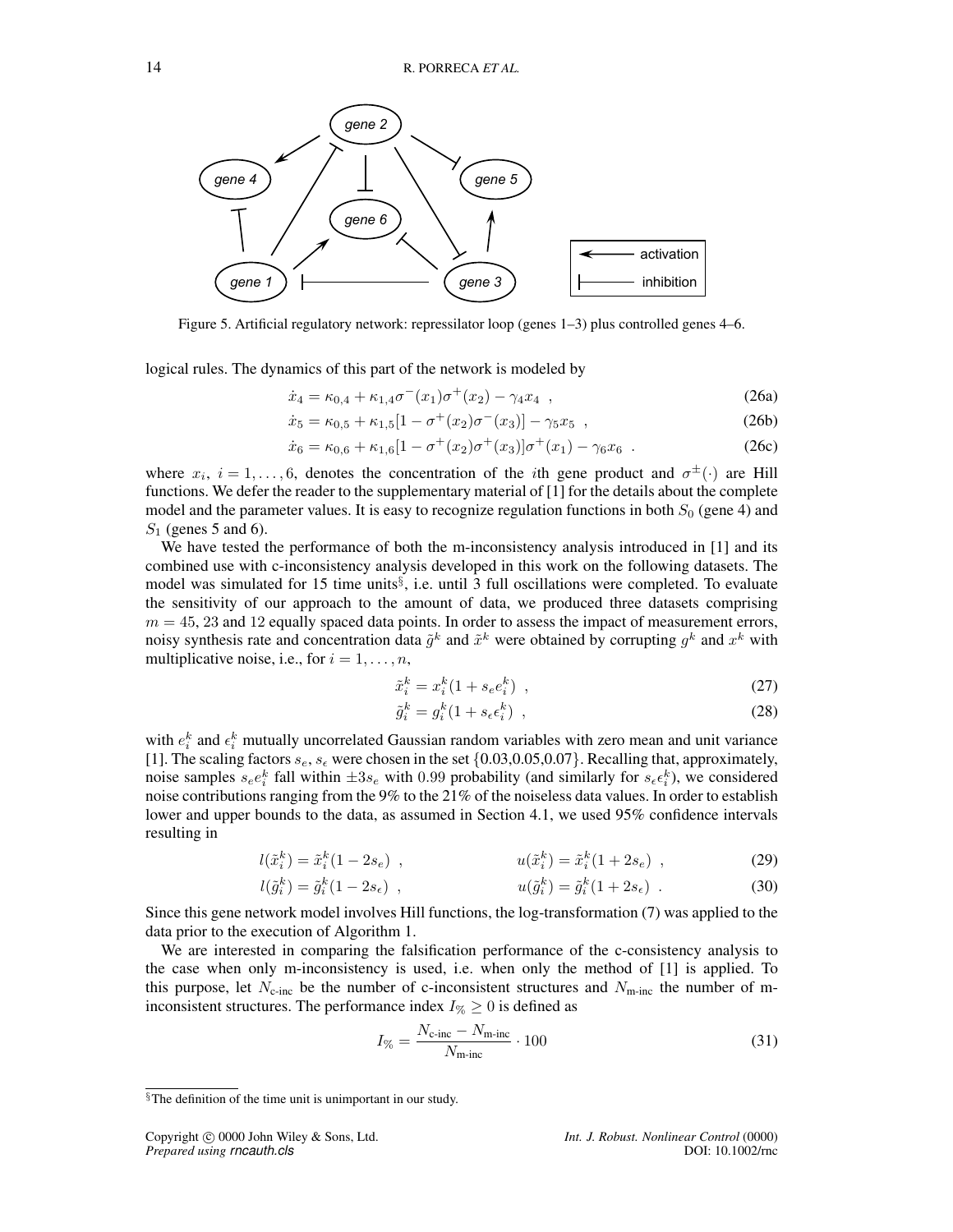

Figure 5. Artificial regulatory network: repressilator loop (genes 1–3) plus controlled genes 4–6.

logical rules. The dynamics of this part of the network is modeled by

$$
\dot{x}_4 = \kappa_{0,4} + \kappa_{1,4}\sigma^-(x_1)\sigma^+(x_2) - \gamma_4 x_4 \tag{26a}
$$

$$
\dot{x}_5 = \kappa_{0,5} + \kappa_{1,5} [1 - \sigma^+(x_2) \sigma^-(x_3)] - \gamma_5 x_5 , \qquad (26b)
$$

$$
\dot{x}_6 = \kappa_{0,6} + \kappa_{1,6} [1 - \sigma^+(x_2) \sigma^+(x_3)] \sigma^+(x_1) - \gamma_6 x_6 \ . \tag{26c}
$$

where  $x_i$ ,  $i = 1, \ldots, 6$ , denotes the concentration of the *i*th gene product and  $\sigma^{\pm}(\cdot)$  are Hill functions. We defer the reader to the supplementary material of [1] for the details about the complete model and the parameter values. It is easy to recognize regulation functions in both  $S_0$  (gene 4) and  $S_1$  (genes 5 and 6).

We have tested the performance of both the m-inconsistency analysis introduced in [1] and its combined use with c-inconsistency analysis developed in this work on the following datasets. The model was simulated for 15 time units<sup>§</sup>, i.e. until 3 full oscillations were completed. To evaluate the sensitivity of our approach to the amount of data, we produced three datasets comprising  $m = 45, 23$  and 12 equally spaced data points. In order to assess the impact of measurement errors, noisy synthesis rate and concentration data  $\tilde{g}^k$  and  $\tilde{x}^k$  were obtained by corrupting  $g^k$  and  $x^k$  with multiplicative noise, i.e., for  $i = 1, \ldots, n$ ,

$$
\tilde{x}_i^k = x_i^k (1 + s_e e_i^k) \tag{27}
$$

$$
\tilde{g}_i^k = g_i^k (1 + s_\epsilon \epsilon_i^k) \tag{28}
$$

with  $e_i^k$  and  $\epsilon_i^k$  mutually uncorrelated Gaussian random variables with zero mean and unit variance [1]. The scaling factors  $s_e$ ,  $s_e$  were chosen in the set  $\{0.03, 0.05, 0.07\}$ . Recalling that, approximately, noise samples  $s_e e_i^k$  fall within  $\pm 3s_e$  with 0.99 probability (and similarly for  $s_e \epsilon_i^k$ ), we considered noise contributions ranging from the 9% to the 21% of the noiseless data values. In order to establish lower and upper bounds to the data, as assumed in Section 4.1, we used 95% confidence intervals resulting in

$$
l(\tilde{x}_i^k) = \tilde{x}_i^k (1 - 2s_e) , \qquad \qquad u(\tilde{x}_i^k) = \tilde{x}_i^k (1 + 2s_e) , \qquad (29)
$$

$$
l(\tilde{g}_i^k) = \tilde{g}_i^k (1 - 2s_\epsilon) , \qquad u(\tilde{g}_i^k) = \tilde{g}_i^k (1 + 2s_\epsilon) . \tag{30}
$$

Since this gene network model involves Hill functions, the log-transformation (7) was applied to the data prior to the execution of Algorithm 1.

We are interested in comparing the falsification performance of the c-consistency analysis to the case when only m-inconsistency is used, i.e. when only the method of [1] is applied. To this purpose, let  $N_{\text{c-inc}}$  be the number of c-inconsistent structures and  $N_{\text{m-inc}}$  the number of minconsistent structures. The performance index  $I_{\%} \geq 0$  is defined as

$$
I_{\%} = \frac{N_{\text{c-inc}} - N_{\text{m-inc}}}{N_{\text{m-inc}}} \cdot 100 \tag{31}
$$

<sup>§</sup>The definition of the time unit is unimportant in our study.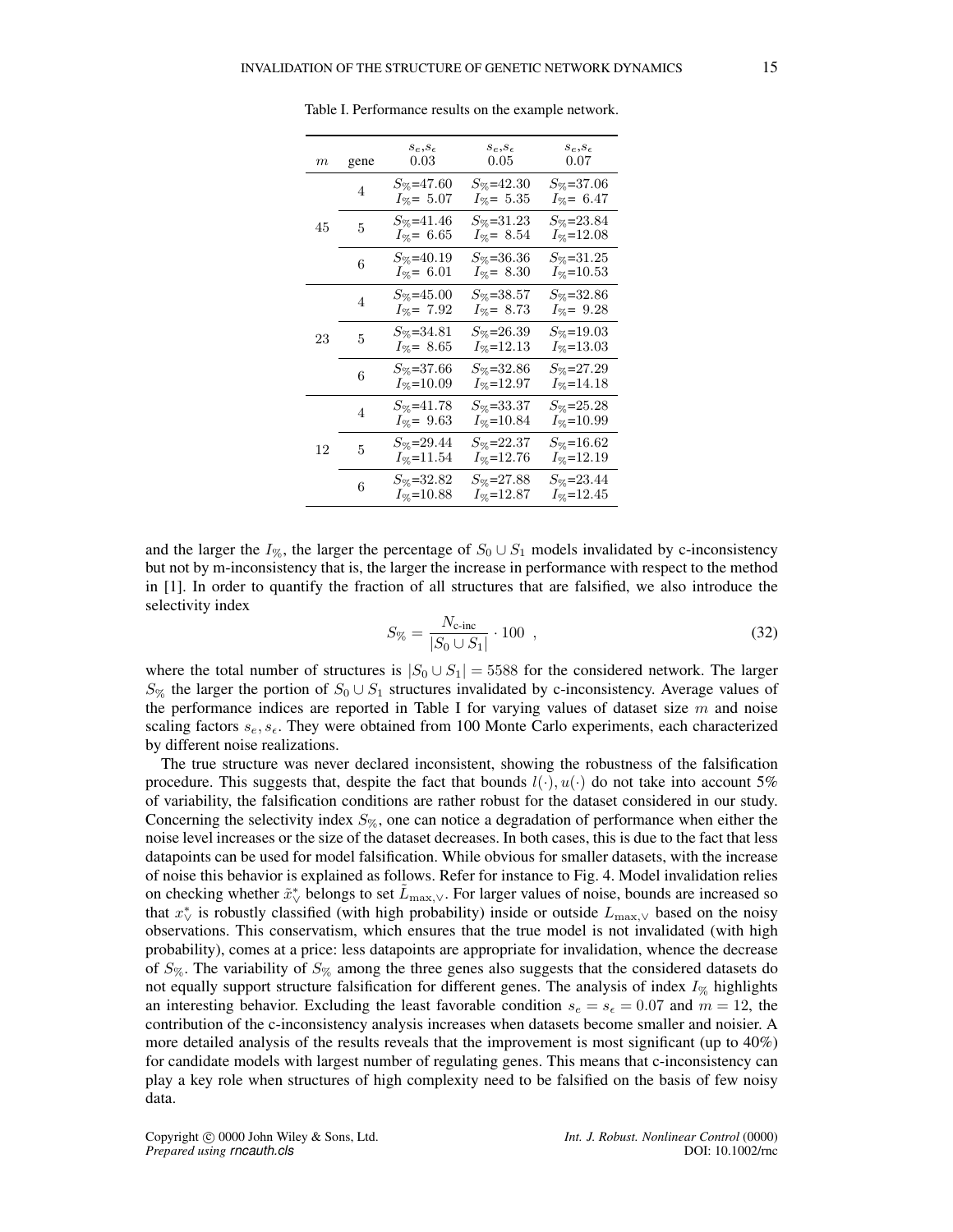| $\,m$ | gene | $s_e,s_\epsilon$<br>0.03                   | $s_e, s_\epsilon$<br>$0.05\,$              | $s_e, s_\epsilon$<br>0.07         |
|-------|------|--------------------------------------------|--------------------------------------------|-----------------------------------|
|       | 4    | $S_{\%}$ =47.60<br>$I_{\%} = 5.07$         | $S_{\%}$ =42.30<br>$I_{\%}$ = 5.35         | $S_{\%}=37.06$<br>$I_{\%} = 6.47$ |
| 45 —  | 5    | $S_{\%}$ =41.46<br>$I_{\%}$ = 6.65         | $S_{\%}=31.23$<br>$I_{\%}$ = 8.54          | $S_{\%}=23.84$<br>$I_{\%}=12.08$  |
|       | 6    | $S_{\%}$ =40.19<br>$I_{\%}$ = 6.01         | $S_{\%}{=}36.36$<br>$I_{\%}$ = 8.30        | $S_{\%}=31.25$<br>$I_{\%}$ =10.53 |
|       | 4    | $S_{\%}$ =45.00<br>$I_{\%}$ = 7.92         | $S_{\%}$ =38.57<br>$I_{\%}$ = 8.73         | $S_{\%}=32.86$<br>$I_{\%}$ = 9.28 |
| 23    | 5    | $S_{\%}=34.81$<br>$I_{\%}$ = 8.65          | $S_{\%}=26.39$<br>$I_{\%}$ =12.13          | $S_{\%}=19.03$<br>$I_{\%}$ =13.03 |
|       | 6    | $S_{\%}\texttt{=}37.66$<br>$I_{\%}$ =10.09 | $S_{\%}\texttt{=}32.86$<br>$I_{\%}$ =12.97 | $S_{\%}=27.29$<br>$I_{\%}$ =14.18 |
|       | 4    | $S_{\%}$ =41.78<br>$I_{\%} = 9.63$         | $S_{\%}=33.37$<br>$I_{\%}=10.84$           | $S_{\%}=25.28$<br>$I_{\%}$ =10.99 |
| 12 -  | 5    | $S_{\%}=29.44$<br>$I_{\%}$ =11.54          | $S_{\%}\text{=}22.37$<br>$I_{\%}$ =12.76   | $S_{\%}=16.62$<br>$I_{\%}$ =12.19 |
|       | 6    | $S_{\%}$ =32.82<br>$I_{\%}$ =10.88         | $S_{\%}=27.88$<br>$I_{\%}$ =12.87          | $S_{\%}=23.44$<br>$I_{\%}$ =12.45 |

Table I. Performance results on the example network.

and the larger the I<sub>%</sub>, the larger the percentage of  $S_0 \cup S_1$  models invalidated by c-inconsistency but not by m-inconsistency that is, the larger the increase in performance with respect to the method in [1]. In order to quantify the fraction of all structures that are falsified, we also introduce the selectivity index

$$
S_{\%} = \frac{N_{\text{c-inc}}}{|S_0 \cup S_1|} \cdot 100 \tag{32}
$$

where the total number of structures is  $|S_0 \cup S_1| = 5588$  for the considered network. The larger  $S_{\%}$  the larger the portion of  $S_0 \cup S_1$  structures invalidated by c-inconsistency. Average values of the performance indices are reported in Table I for varying values of dataset size  $m$  and noise scaling factors  $s_e, s_e$ . They were obtained from 100 Monte Carlo experiments, each characterized by different noise realizations.

The true structure was never declared inconsistent, showing the robustness of the falsification procedure. This suggests that, despite the fact that bounds  $l(\cdot), u(\cdot)$  do not take into account 5% of variability, the falsification conditions are rather robust for the dataset considered in our study. Concerning the selectivity index  $S_{\%}$ , one can notice a degradation of performance when either the noise level increases or the size of the dataset decreases. In both cases, this is due to the fact that less datapoints can be used for model falsification. While obvious for smaller datasets, with the increase of noise this behavior is explained as follows. Refer for instance to Fig. 4. Model invalidation relies on checking whether  $\tilde{x}^*_{\vee}$  belongs to set  $\tilde{L}_{\max,\vee}$ . For larger values of noise, bounds are increased so that  $x^*_{\vee}$  is robustly classified (with high probability) inside or outside  $L_{\text{max},\vee}$  based on the noisy observations. This conservatism, which ensures that the true model is not invalidated (with high probability), comes at a price: less datapoints are appropriate for invalidation, whence the decrease of  $S_{\%}$ . The variability of  $S_{\%}$  among the three genes also suggests that the considered datasets do not equally support structure falsification for different genes. The analysis of index  $I_{\%}$  highlights an interesting behavior. Excluding the least favorable condition  $s_e = s_f = 0.07$  and  $m = 12$ , the contribution of the c-inconsistency analysis increases when datasets become smaller and noisier. A more detailed analysis of the results reveals that the improvement is most significant (up to 40%) for candidate models with largest number of regulating genes. This means that c-inconsistency can play a key role when structures of high complexity need to be falsified on the basis of few noisy data.

Copyright 
copyright 
copyright 
c 0000 John Wiley & Sons, Ltd.<br> *Prepared using rncauth.cls*computed Unit. J. Robust. Nonlinear Control (0000)<br>
Prepared using rncauth.cls *Prepared using rncauth.cls*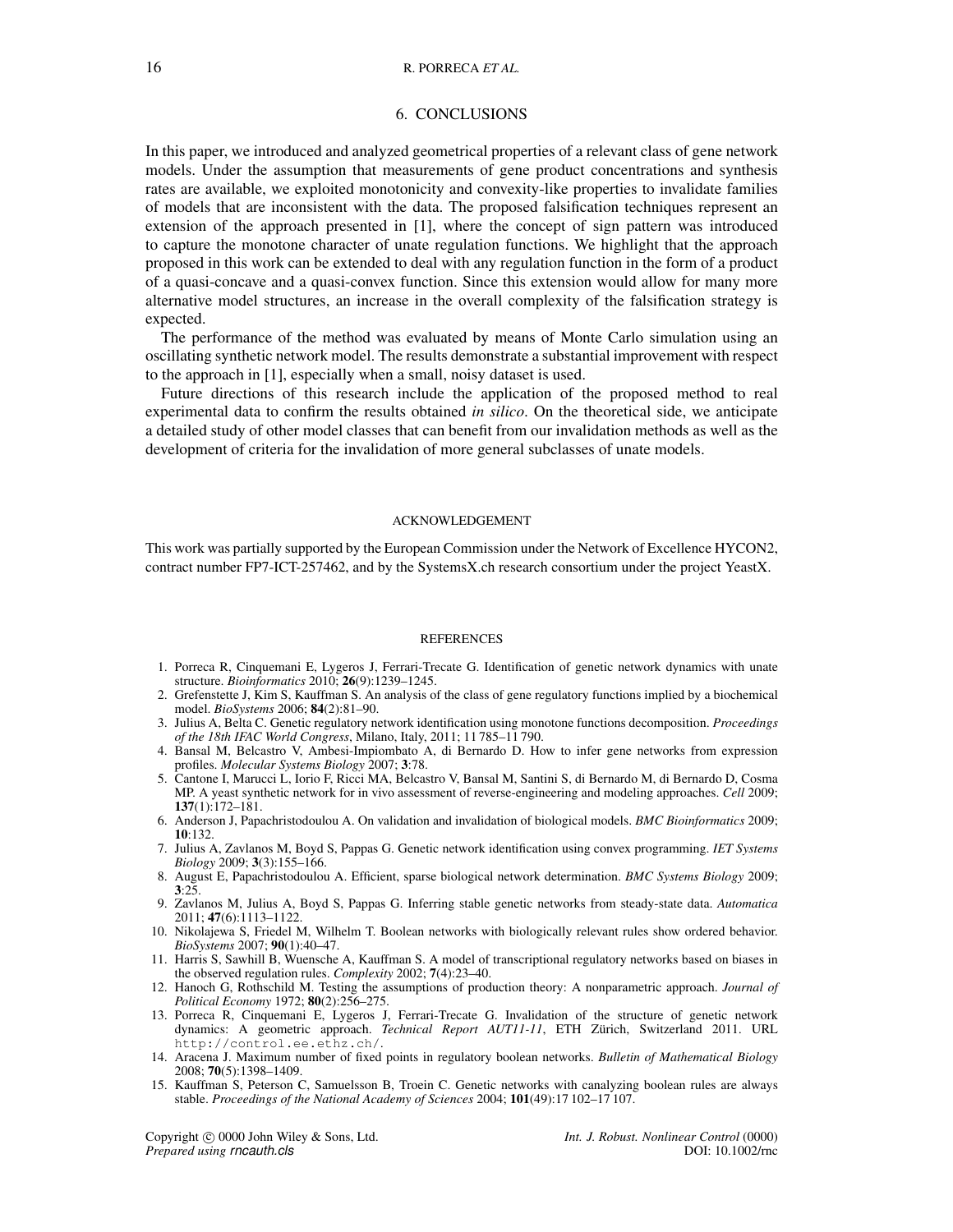#### 16 R. PORRECA *ET AL.*

#### 6. CONCLUSIONS

In this paper, we introduced and analyzed geometrical properties of a relevant class of gene network models. Under the assumption that measurements of gene product concentrations and synthesis rates are available, we exploited monotonicity and convexity-like properties to invalidate families of models that are inconsistent with the data. The proposed falsification techniques represent an extension of the approach presented in [1], where the concept of sign pattern was introduced to capture the monotone character of unate regulation functions. We highlight that the approach proposed in this work can be extended to deal with any regulation function in the form of a product of a quasi-concave and a quasi-convex function. Since this extension would allow for many more alternative model structures, an increase in the overall complexity of the falsification strategy is expected.

The performance of the method was evaluated by means of Monte Carlo simulation using an oscillating synthetic network model. The results demonstrate a substantial improvement with respect to the approach in [1], especially when a small, noisy dataset is used.

Future directions of this research include the application of the proposed method to real experimental data to confirm the results obtained *in silico*. On the theoretical side, we anticipate a detailed study of other model classes that can benefit from our invalidation methods as well as the development of criteria for the invalidation of more general subclasses of unate models.

#### ACKNOWLEDGEMENT

This work was partially supported by the European Commission under the Network of Excellence HYCON2, contract number FP7-ICT-257462, and by the SystemsX.ch research consortium under the project YeastX.

#### **REFERENCES**

- 1. Porreca R, Cinquemani E, Lygeros J, Ferrari-Trecate G. Identification of genetic network dynamics with unate structure. *Bioinformatics* 2010; 26(9):1239–1245.
- 2. Grefenstette J, Kim S, Kauffman S. An analysis of the class of gene regulatory functions implied by a biochemical model. *BioSystems* 2006; 84(2):81–90.
- 3. Julius A, Belta C. Genetic regulatory network identification using monotone functions decomposition. *Proceedings of the 18th IFAC World Congress*, Milano, Italy, 2011; 11 785–11 790.
- 4. Bansal M, Belcastro V, Ambesi-Impiombato A, di Bernardo D. How to infer gene networks from expression profiles. *Molecular Systems Biology* 2007; 3:78.
- 5. Cantone I, Marucci L, Iorio F, Ricci MA, Belcastro V, Bansal M, Santini S, di Bernardo M, di Bernardo D, Cosma MP. A yeast synthetic network for in vivo assessment of reverse-engineering and modeling approaches. *Cell* 2009; 137(1):172–181.
- 6. Anderson J, Papachristodoulou A. On validation and invalidation of biological models. *BMC Bioinformatics* 2009; 10:132.
- 7. Julius A, Zavlanos M, Boyd S, Pappas G. Genetic network identification using convex programming. *IET Systems Biology* 2009; 3(3):155–166.
- 8. August E, Papachristodoulou A. Efficient, sparse biological network determination. *BMC Systems Biology* 2009; 3:25.
- 9. Zavlanos M, Julius A, Boyd S, Pappas G. Inferring stable genetic networks from steady-state data. *Automatica* 2011; 47(6):1113–1122.
- 10. Nikolajewa S, Friedel M, Wilhelm T. Boolean networks with biologically relevant rules show ordered behavior. *BioSystems* 2007; 90(1):40–47.
- 11. Harris S, Sawhill B, Wuensche A, Kauffman S. A model of transcriptional regulatory networks based on biases in the observed regulation rules. *Complexity* 2002; 7(4):23–40.
- 12. Hanoch G, Rothschild M. Testing the assumptions of production theory: A nonparametric approach. *Journal of Political Economy* 1972; 80(2):256–275.
- 13. Porreca R, Cinquemani E, Lygeros J, Ferrari-Trecate G. Invalidation of the structure of genetic network dynamics: A geometric approach. *Technical Report AUT11-11*, ETH Zürich, Switzerland 2011. URL http://control.ee.ethz.ch/.
- 14. Aracena J. Maximum number of fixed points in regulatory boolean networks. *Bulletin of Mathematical Biology* 2008; 70(5):1398–1409.
- 15. Kauffman S, Peterson C, Samuelsson B, Troein C. Genetic networks with canalyzing boolean rules are always stable. *Proceedings of the National Academy of Sciences* 2004; 101(49):17 102–17 107.